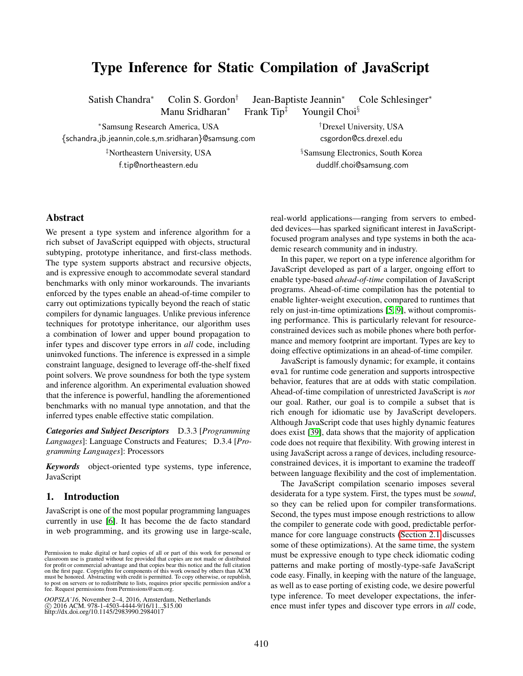# Type Inference for Static Compilation of JavaScript

Satish Chandra<sup>∗</sup> Colin S. Gordon†

Manu Sridharan<sup>∗</sup> Frank Tip‡ Youngil Choi§

Jean-Baptiste Jeannin<sup>∗</sup> Cole Schlesinger<sup>∗</sup>

<sup>∗</sup>Samsung Research America, USA †Drexel University, USA

{schandra,jb.jeannin,cole.s,m.sridharan}@samsung.com csgordon@cs.drexel.edu

‡Northeastern University, USA §Samsung Electronics, South Korea f.tip@northeastern.edu duddlf.choi@samsung.com

# Abstract

We present a type system and inference algorithm for a rich subset of JavaScript equipped with objects, structural subtyping, prototype inheritance, and first-class methods. The type system supports abstract and recursive objects, and is expressive enough to accommodate several standard benchmarks with only minor workarounds. The invariants enforced by the types enable an ahead-of-time compiler to carry out optimizations typically beyond the reach of static compilers for dynamic languages. Unlike previous inference techniques for prototype inheritance, our algorithm uses a combination of lower and upper bound propagation to infer types and discover type errors in *all* code, including uninvoked functions. The inference is expressed in a simple constraint language, designed to leverage off-the-shelf fixed point solvers. We prove soundness for both the type system and inference algorithm. An experimental evaluation showed that the inference is powerful, handling the aforementioned benchmarks with no manual type annotation, and that the inferred types enable effective static compilation.

*Categories and Subject Descriptors* D.3.3 [*Programming Languages*]: Language Constructs and Features; D.3.4 [*Programming Languages*]: Processors

*Keywords* object-oriented type systems, type inference, JavaScript

# <span id="page-0-0"></span>1. Introduction

JavaScript is one of the most popular programming languages currently in use [\[6\]](#page-18-0). It has become the de facto standard in web programming, and its growing use in large-scale, real-world applications—ranging from servers to embedded devices—has sparked significant interest in JavaScriptfocused program analyses and type systems in both the academic research community and in industry.

In this paper, we report on a type inference algorithm for JavaScript developed as part of a larger, ongoing effort to enable type-based *ahead-of-time* compilation of JavaScript programs. Ahead-of-time compilation has the potential to enable lighter-weight execution, compared to runtimes that rely on just-in-time optimizations [\[5,](#page-18-1) [9\]](#page-18-2), without compromising performance. This is particularly relevant for resourceconstrained devices such as mobile phones where both performance and memory footprint are important. Types are key to doing effective optimizations in an ahead-of-time compiler.

JavaScript is famously dynamic; for example, it contains eval for runtime code generation and supports introspective behavior, features that are at odds with static compilation. Ahead-of-time compilation of unrestricted JavaScript is *not* our goal. Rather, our goal is to compile a subset that is rich enough for idiomatic use by JavaScript developers. Although JavaScript code that uses highly dynamic features does exist [\[39\]](#page-19-0), data shows that the majority of application code does not require that flexibility. With growing interest in using JavaScript across a range of devices, including resourceconstrained devices, it is important to examine the tradeoff between language flexibility and the cost of implementation.

The JavaScript compilation scenario imposes several desiderata for a type system. First, the types must be *sound*, so they can be relied upon for compiler transformations. Second, the types must impose enough restrictions to allow the compiler to generate code with good, predictable performance for core language constructs [\(Section 2.1](#page-2-0) discusses some of these optimizations). At the same time, the system must be expressive enough to type check idiomatic coding patterns and make porting of mostly-type-safe JavaScript code easy. Finally, in keeping with the nature of the language, as well as to ease porting of existing code, we desire powerful type inference. To meet developer expectations, the inference must infer types and discover type errors in *all* code,

Permission to make digital or hard copies of all or part of this work for personal or classroom use is granted without fee provided that copies are not made or distributed for profit or commercial advantage and that copies bear this notice and the full citation on the first page. Copyrights for components of this work owned by others than ACM<br>must be honored. Abstracting with credit is permitted. To copy otherwise, or republish,<br>to post on servers or to redistribute to lists, req fee. Request permissions from Permissions@acm.org.

*OOPSLA'16*, November 2–4, 2016, Amsterdam, Netherlands<br>© 2016 ACM. 978-1-4503-4444-9/16/11...\$15.00<br>http://dx.doi.org/10.1145/2983990.2984017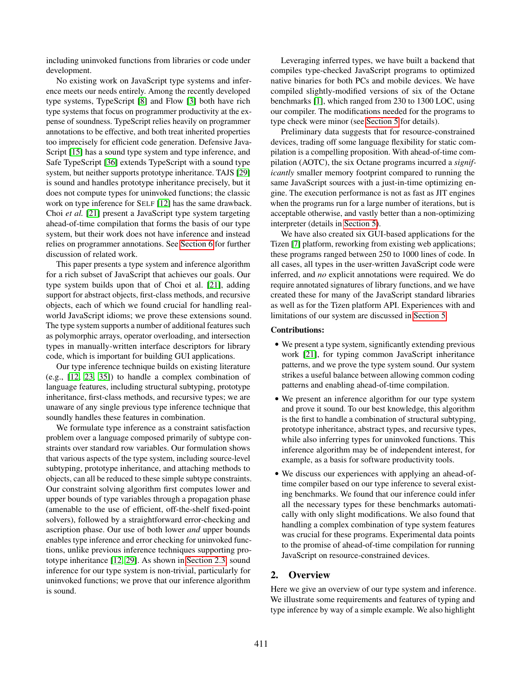including uninvoked functions from libraries or code under development.

No existing work on JavaScript type systems and inference meets our needs entirely. Among the recently developed type systems, TypeScript [\[8\]](#page-18-3) and Flow [\[3\]](#page-18-4) both have rich type systems that focus on programmer productivity at the expense of soundness. TypeScript relies heavily on programmer annotations to be effective, and both treat inherited properties too imprecisely for efficient code generation. Defensive Java-Script [\[15\]](#page-18-5) has a sound type system and type inference, and Safe TypeScript [\[36\]](#page-19-1) extends TypeScript with a sound type system, but neither supports prototype inheritance. TAJS [\[29\]](#page-18-6) is sound and handles prototype inheritance precisely, but it does not compute types for uninvoked functions; the classic work on type inference for SELF [\[12\]](#page-18-7) has the same drawback. Choi *et al.* [\[21\]](#page-18-8) present a JavaScript type system targeting ahead-of-time compilation that forms the basis of our type system, but their work does not have inference and instead relies on programmer annotations. See [Section 6](#page-16-0) for further discussion of related work.

This paper presents a type system and inference algorithm for a rich subset of JavaScript that achieves our goals. Our type system builds upon that of Choi et al. [\[21\]](#page-18-8), adding support for abstract objects, first-class methods, and recursive objects, each of which we found crucial for handling realworld JavaScript idioms; we prove these extensions sound. The type system supports a number of additional features such as polymorphic arrays, operator overloading, and intersection types in manually-written interface descriptors for library code, which is important for building GUI applications.

Our type inference technique builds on existing literature (e.g., [\[12,](#page-18-7) [23,](#page-18-9) [35\]](#page-19-2)) to handle a complex combination of language features, including structural subtyping, prototype inheritance, first-class methods, and recursive types; we are unaware of any single previous type inference technique that soundly handles these features in combination.

We formulate type inference as a constraint satisfaction problem over a language composed primarily of subtype constraints over standard row variables. Our formulation shows that various aspects of the type system, including source-level subtyping, prototype inheritance, and attaching methods to objects, can all be reduced to these simple subtype constraints. Our constraint solving algorithm first computes lower and upper bounds of type variables through a propagation phase (amenable to the use of efficient, off-the-shelf fixed-point solvers), followed by a straightforward error-checking and ascription phase. Our use of both lower *and* upper bounds enables type inference and error checking for uninvoked functions, unlike previous inference techniques supporting prototype inheritance [\[12,](#page-18-7) [29\]](#page-18-6). As shown in [Section 2.3,](#page-3-0) sound inference for our type system is non-trivial, particularly for uninvoked functions; we prove that our inference algorithm is sound.

Leveraging inferred types, we have built a backend that compiles type-checked JavaScript programs to optimized native binaries for both PCs and mobile devices. We have compiled slightly-modified versions of six of the Octane benchmarks [\[1\]](#page-18-10), which ranged from 230 to 1300 LOC, using our compiler. The modifications needed for the programs to type check were minor (see [Section 5](#page-12-0) for details).

Preliminary data suggests that for resource-constrained devices, trading off some language flexibility for static compilation is a compelling proposition. With ahead-of-time compilation (AOTC), the six Octane programs incurred a *significantly* smaller memory footprint compared to running the same JavaScript sources with a just-in-time optimizing engine. The execution performance is not as fast as JIT engines when the programs run for a large number of iterations, but is acceptable otherwise, and vastly better than a non-optimizing interpreter (details in [Section 5\)](#page-12-0).

We have also created six GUI-based applications for the Tizen [\[7\]](#page-18-11) platform, reworking from existing web applications; these programs ranged between 250 to 1000 lines of code. In all cases, all types in the user-written JavaScript code were inferred, and *no* explicit annotations were required. We do require annotated signatures of library functions, and we have created these for many of the JavaScript standard libraries as well as for the Tizen platform API. Experiences with and limitations of our system are discussed in [Section 5.](#page-12-0)

# Contributions:

- We present a type system, significantly extending previous work [\[21\]](#page-18-8), for typing common JavaScript inheritance patterns, and we prove the type system sound. Our system strikes a useful balance between allowing common coding patterns and enabling ahead-of-time compilation.
- We present an inference algorithm for our type system and prove it sound. To our best knowledge, this algorithm is the first to handle a combination of structural subtyping, prototype inheritance, abstract types, and recursive types, while also inferring types for uninvoked functions. This inference algorithm may be of independent interest, for example, as a basis for software productivity tools.
- We discuss our experiences with applying an ahead-oftime compiler based on our type inference to several existing benchmarks. We found that our inference could infer all the necessary types for these benchmarks automatically with only slight modifications. We also found that handling a complex combination of type system features was crucial for these programs. Experimental data points to the promise of ahead-of-time compilation for running JavaScript on resource-constrained devices.

# 2. Overview

Here we give an overview of our type system and inference. We illustrate some requirements and features of typing and type inference by way of a simple example. We also highlight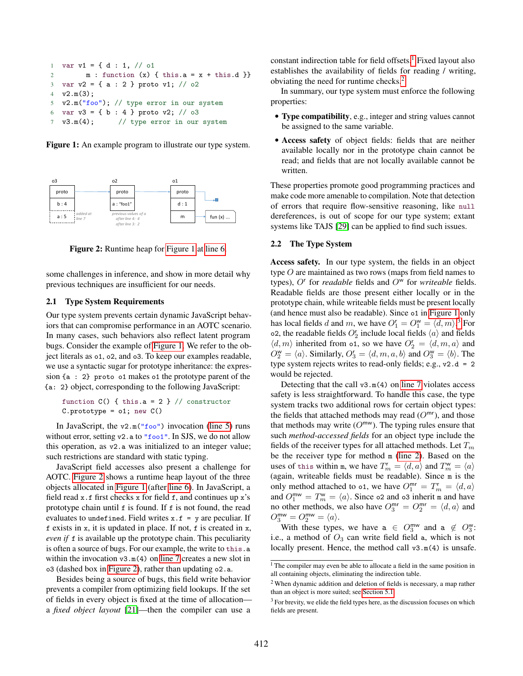```
1 var v1 = { d : 1, // o1
2 m : function (x) { this.a = x + this.d }}
3 var v2 = { a : 2 } proto v1; // 02
4 v2.m(3);
5 v2.m("foo"); // type error in our system
6 var v3 = { b : 4 } proto v2; // \circ3
7 v3.m(4); // type error in our system
```
<span id="page-2-5"></span><span id="page-2-2"></span>Figure 1: An example program to illustrate our type system.

<span id="page-2-4"></span>

Figure 2: Runtime heap for [Figure 1](#page-2-1) at [line 6.](#page-2-2)

some challenges in inference, and show in more detail why previous techniques are insufficient for our needs.

#### <span id="page-2-0"></span>2.1 Type System Requirements

Our type system prevents certain dynamic JavaScript behaviors that can compromise performance in an AOTC scenario. In many cases, such behaviors also reflect latent program bugs. Consider the example of [Figure 1.](#page-2-1) We refer to the object literals as o1, o2, and o3. To keep our examples readable, we use a syntactic sugar for prototype inheritance: the expression {a : 2} proto o1 makes o1 the prototype parent of the {a: 2} object, corresponding to the following JavaScript:

function  $C()$  { this.a = 2 } // constructor  $C.$ prototype =  $o1$ ; new  $C()$ 

In JavaScript, the  $v2.m("foo")$  invocation [\(line 5\)](#page-2-3) runs without error, setting v2.a to "foo1". In SJS, we do not allow this operation, as v2.a was initialized to an integer value; such restrictions are standard with static typing.

JavaScript field accesses also present a challenge for AOTC. [Figure 2](#page-2-4) shows a runtime heap layout of the three objects allocated in [Figure 1](#page-2-1) (after [line 6\)](#page-2-2). In JavaScript, a field read x.f first checks x for field f, and continues up x's prototype chain until f is found. If f is not found, the read evaluates to undefined. Field writes  $x.f = y$  are peculiar. If f exists in x, it is updated in place. If not, f is created in x, *even if* f is available up the prototype chain. This peculiarity is often a source of bugs. For our example, the write to this.a within the invocation v3.m(4) on [line 7](#page-2-5) creates a new slot in o3 (dashed box in [Figure 2\)](#page-2-4), rather than updating o2.a.

Besides being a source of bugs, this field write behavior prevents a compiler from optimizing field lookups. If the set of fields in every object is fixed at the time of allocation a *fixed object layout* [\[21\]](#page-18-8)—then the compiler can use a

constant indirection table for field offsets.[1](#page-2-6) Fixed layout also establishes the availability of fields for reading / writing, obviating the need for runtime checks.[2](#page-2-7)

In summary, our type system must enforce the following properties:

- Type compatibility, e.g., integer and string values cannot be assigned to the same variable.
- Access safety of object fields: fields that are neither available locally nor in the prototype chain cannot be read; and fields that are not locally available cannot be written.

These properties promote good programming practices and make code more amenable to compilation. Note that detection of errors that require flow-sensitive reasoning, like null dereferences, is out of scope for our type system; extant systems like TAJS [\[29\]](#page-18-6) can be applied to find such issues.

## <span id="page-2-11"></span>2.2 The Type System

Access safety. In our type system, the fields in an object type O are maintained as two rows (maps from field names to types),  $O<sup>r</sup>$  for *readable* fields and  $O<sup>w</sup>$  for *writeable* fields. Readable fields are those present either locally or in the prototype chain, while writeable fields must be present locally (and hence must also be readable). Since o1 in [Figure 1](#page-2-1) only has local fields d and m, we have  $O_1^r = O_1^w = \langle d, m \rangle$ .<sup>[3](#page-2-8)</sup> For o2, the readable fields  $O_2^r$  include local fields  $\langle a \rangle$  and fields  $\langle d, m \rangle$  inherited from 01, so we have  $O_2^r = \langle d, m, a \rangle$  and  $O_2^{\mathsf{w}} = \langle a \rangle$ . Similarly,  $O_3^{\mathsf{r}} = \langle d, m, a, b \rangle$  and  $O_3^{\mathsf{w}} = \langle b \rangle$ . The type system rejects writes to read-only fields; e.g., v2.d = 2 would be rejected.

Detecting that the call  $v3.m(4)$  on [line 7](#page-2-5) violates access safety is less straightforward. To handle this case, the type system tracks two additional rows for certain object types: the fields that attached methods may read  $(O^{mr})$ , and those that methods may write  $(O^{mw})$ . The typing rules ensure that such *method-accessed fields* for an object type include the fields of the receiver types for all attached methods. Let  $T_m$ be the receiver type for method m [\(line 2\)](#page-2-9). Based on the uses of this within m, we have  $T_m^r = \langle d, a \rangle$  and  $T_m^w = \langle a \rangle$ (again, writeable fields must be readable). Since m is the only method attached to 01, we have  $O_1^{mr} = T_m^r = \langle d, a \rangle$ and  $O_1^{\text{mw}} = T_m^{\text{w}} = \langle a \rangle$ . Since  $\circ$ 2 and  $\circ$ 3 inherit m and have no other methods, we also have  $O_3^{mr} = O_2^{mr} = \langle d, a \rangle$  and  $O_3^{\mathsf{mw}} = O_2^{\mathsf{mw}} = \langle a \rangle.$ 

With these types, we have  $a \in O_3^{\text{mw}}$  and  $a \notin O_3^{\text{wx}}$ . i.e., a method of  $O_3$  can write field field a, which is not locally present. Hence, the method call v3.m(4) is unsafe.

<span id="page-2-6"></span><sup>&</sup>lt;sup>1</sup> The compiler may even be able to allocate a field in the same position in all containing objects, eliminating the indirection table.

<span id="page-2-7"></span><sup>2</sup> When dynamic addition and deletion of fields is necessary, a map rather than an object is more suited; see [Section 5.1.](#page-12-1)

<span id="page-2-8"></span><sup>&</sup>lt;sup>3</sup> For brevity, we elide the field types here, as the discussion focuses on which fields are present.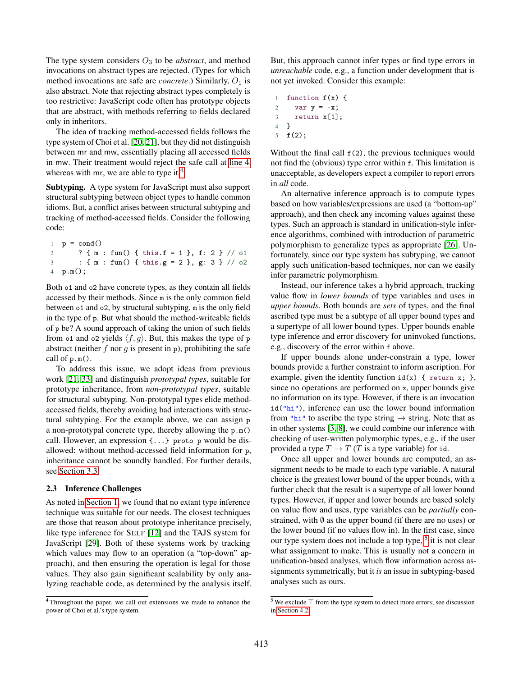The type system considers  $O_3$  to be *abstract*, and method invocations on abstract types are rejected. (Types for which method invocations are safe are *concrete*.) Similarly,  $O_1$  is also abstract. Note that rejecting abstract types completely is too restrictive: JavaScript code often has prototype objects that are abstract, with methods referring to fields declared only in inheritors.

The idea of tracking method-accessed fields follows the type system of Choi et al. [\[20,](#page-18-12) [21\]](#page-18-8), but they did not distinguish between mr and mw, essentially placing all accessed fields in mw. Their treatment would reject the safe call at [line 4,](#page-2-10) whereas with mr, we are able to type it.<sup>[4](#page-3-1)</sup>

Subtyping. A type system for JavaScript must also support structural subtyping between object types to handle common idioms. But, a conflict arises between structural subtyping and tracking of method-accessed fields. Consider the following code:

 $1$   $p = cond()$ 2 ? { m : fun() { this.f = 1 }, f: 2 } // o1  $3 : \{ m : fun() \{ this.g = 2 \}, gf : 3 \} // 02$ 4 p.m();

Both o1 and o2 have concrete types, as they contain all fields accessed by their methods. Since m is the only common field between o1 and o2, by structural subtyping, m is the only field in the type of p. But what should the method-writeable fields of p be? A sound approach of taking the union of such fields from 01 and 02 yields  $\langle f, g \rangle$ . But, this makes the type of p abstract (neither f nor g is present in p), prohibiting the safe call of p.m().

To address this issue, we adopt ideas from previous work [\[21,](#page-18-8) [33\]](#page-19-3) and distinguish *prototypal types*, suitable for prototype inheritance, from *non-prototypal types*, suitable for structural subtyping. Non-prototypal types elide methodaccessed fields, thereby avoiding bad interactions with structural subtyping. For the example above, we can assign p a non-prototypal concrete type, thereby allowing the p.m() call. However, an expression {...} proto p would be disallowed: without method-accessed field information for p, inheritance cannot be soundly handled. For further details, see [Section 3.3.](#page-5-0)

## <span id="page-3-0"></span>2.3 Inference Challenges

As noted in [Section 1,](#page-0-0) we found that no extant type inference technique was suitable for our needs. The closest techniques are those that reason about prototype inheritance precisely, like type inference for SELF [\[12\]](#page-18-7) and the TAJS system for JavaScript [\[29\]](#page-18-6). Both of these systems work by tracking which values may flow to an operation (a "top-down" approach), and then ensuring the operation is legal for those values. They also gain significant scalability by only analyzing reachable code, as determined by the analysis itself. But, this approach cannot infer types or find type errors in *unreachable* code, e.g., a function under development that is not yet invoked. Consider this example:

1 function  $f(x)$  { 2 var  $y = -x$ ; 3 return x[1]; 4 }

 $5 f(2)$ ;

Without the final call  $f(2)$ , the previous techniques would not find the (obvious) type error within f. This limitation is unacceptable, as developers expect a compiler to report errors in *all* code.

An alternative inference approach is to compute types based on how variables/expressions are used (a "bottom-up" approach), and then check any incoming values against these types. Such an approach is standard in unification-style inference algorithms, combined with introduction of parametric polymorphism to generalize types as appropriate [\[26\]](#page-18-13). Unfortunately, since our type system has subtyping, we cannot apply such unification-based techniques, nor can we easily infer parametric polymorphism.

Instead, our inference takes a hybrid approach, tracking value flow in *lower bounds* of type variables and uses in *upper bounds*. Both bounds are *sets* of types, and the final ascribed type must be a subtype of all upper bound types and a supertype of all lower bound types. Upper bounds enable type inference and error discovery for uninvoked functions, e.g., discovery of the error within f above.

If upper bounds alone under-constrain a type, lower bounds provide a further constraint to inform ascription. For example, given the identity function  $id(x) \{$  return x; }, since no operations are performed on x, upper bounds give no information on its type. However, if there is an invocation id("hi"), inference can use the lower bound information from "hi" to ascribe the type string  $\rightarrow$  string. Note that as in other systems [\[3,](#page-18-4) [8\]](#page-18-3), we could combine our inference with checking of user-written polymorphic types, e.g., if the user provided a type  $T \to T$  (T is a type variable) for id.

Once all upper and lower bounds are computed, an assignment needs to be made to each type variable. A natural choice is the greatest lower bound of the upper bounds, with a further check that the result is a supertype of all lower bound types. However, if upper and lower bounds are based solely on value flow and uses, type variables can be *partially* constrained, with  $\emptyset$  as the upper bound (if there are no uses) or the lower bound (if no values flow in). In the first case, since our type system does not include a top type, <sup>[5](#page-3-2)</sup> it is not clear what assignment to make. This is usually not a concern in unification-based analyses, which flow information across assignments symmetrically, but it *is* an issue in subtyping-based analyses such as ours.

<span id="page-3-1"></span><sup>4</sup> Throughout the paper, we call out extensions we made to enhance the power of Choi et al.'s type system.

<span id="page-3-2"></span><sup>5</sup> We exclude ⊤ from the type system to detect more errors; see discussion in [Section 4.2.](#page-10-0)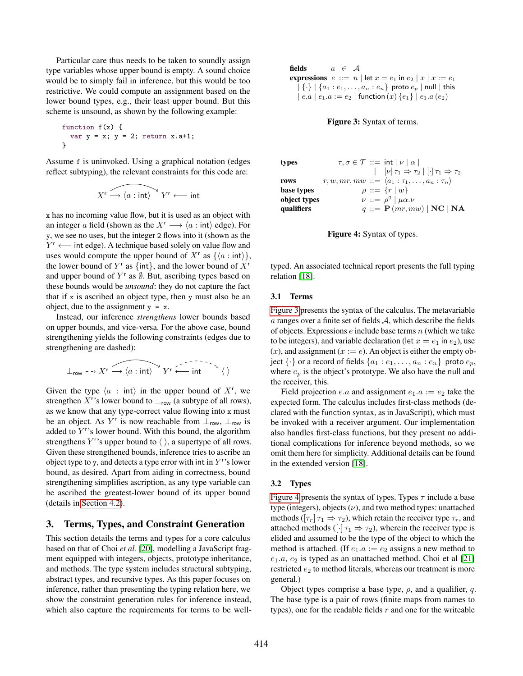Particular care thus needs to be taken to soundly assign type variables whose upper bound is empty. A sound choice would be to simply fail in inference, but this would be too restrictive. We could compute an assignment based on the lower bound types, e.g., their least upper bound. But this scheme is unsound, as shown by the following example:

function f(x) { var y = x; y = 2; return x.a+1; }

Assume f is uninvoked. Using a graphical notation (edges reflect subtyping), the relevant constraints for this code are:

$$
X^r \overbrace{\longrightarrow \langle a : \mathsf{int} \rangle}^{\sim} Y^r \longleftarrow \mathsf{int}
$$

x has no incoming value flow, but it is used as an object with an integer a field (shown as the  $X^r \longrightarrow \langle a : \text{int} \rangle$  edge). For y, we see no uses, but the integer 2 flows into it (shown as the  $Y^r \longleftarrow$  int edge). A technique based solely on value flow and uses would compute the upper bound of  $X^r$  as  $\{\langle a : \text{int} \rangle\},$ the lower bound of  $Y^r$  as {int}, and the lower bound of  $X^r$ and upper bound of  $Y^r$  as  $\emptyset$ . But, ascribing types based on these bounds would be *unsound*: they do not capture the fact that if x is ascribed an object type, then y must also be an object, due to the assignment  $y = x$ .

Instead, our inference *strengthens* lower bounds based on upper bounds, and vice-versa. For the above case, bound strengthening yields the following constraints (edges due to strengthening are dashed):

$$
\perp_{\mathsf{row}} \dashrightarrow X^{\mathsf{r}} \stackrel{\frown}{\longrightarrow} \langle a : \mathsf{int} \rangle \qquad Y^{\mathsf{r}} \stackrel{\frown}{\longleftarrow} \mathsf{int} \qquad \qquad \langle \rangle
$$

Given the type  $\langle a : \text{int} \rangle$  in the upper bound of  $X^r$ , we strengthen X<sup>r</sup>'s lower bound to  $\perp_{\text{row}}$  (a subtype of all rows), as we know that any type-correct value flowing into x must be an object. As Y<sup>r</sup> is now reachable from  $\perp_{row}$ ,  $\perp_{row}$  is added to  $Y^r$ 's lower bound. With this bound, the algorithm strengthens  $Y^r$ 's upper bound to  $\langle \ \rangle$ , a supertype of all rows. Given these strengthened bounds, inference tries to ascribe an object type to y, and detects a type error with int in  $Y^r$ 's lower bound, as desired. Apart from aiding in correctness, bound strengthening simplifies ascription, as any type variable can be ascribed the greatest-lower bound of its upper bound (details in [Section 4.2\)](#page-10-0).

# 3. Terms, Types, and Constraint Generation

This section details the terms and types for a core calculus based on that of Choi *et al.* [\[20\]](#page-18-12), modelling a JavaScript fragment equipped with integers, objects, prototype inheritance, and methods. The type system includes structural subtyping, abstract types, and recursive types. As this paper focuses on inference, rather than presenting the typing relation here, we show the constraint generation rules for inference instead, which also capture the requirements for terms to be well-

```
fields a \in \mathcal{A}expressions e ::= n \mid \text{let } x = e_1 \text{ in } e_2 \mid x \mid x := e_1\{\cdot\} | \{a_1 : e_1, \ldots, a_n : e_n\} proto e_p | null | this
   | e.a | e_1.a := e_2 | function (x) \{e_1\} | e_1.a (e_2)
```
# Figure 3: Syntax of terms.

<span id="page-4-1"></span>

| types        |  | $\tau, \sigma \in \mathcal{T} ::= \mathsf{int}   \nu   \alpha  $      |
|--------------|--|-----------------------------------------------------------------------|
|              |  | $ \nu \tau_1 \Rightarrow \tau_2   \cdot \tau_1 \Rightarrow \tau_2$    |
| rows         |  | $r, w, mr, mw ::= \langle a_1 : \tau_1, \ldots, a_n : \tau_n \rangle$ |
| base types   |  | $\rho ::= \{r   w\}$                                                  |
| object types |  | $\nu ::= \rho^q \mid \mu \alpha . \nu$                                |
| qualifiers   |  | $q ::= \mathbf{P}(mr, mw)   \mathbf{NC}   \mathbf{NA}$                |



typed. An associated technical report presents the full typing relation [\[18\]](#page-18-14).

#### 3.1 Terms

[Figure 3](#page-4-0) presents the syntax of the calculus. The metavariable  $a$  ranges over a finite set of fields  $A$ , which describe the fields of objects. Expressions  $e$  include base terms  $n$  (which we take to be integers), and variable declaration (let  $x = e_1$  in  $e_2$ ), use  $(x)$ , and assignment  $(x := e)$ . An object is either the empty object  $\{\cdot\}$  or a record of fields  $\{a_1 : e_1, \ldots, a_n : e_n\}$  proto  $e_p$ , where  $e_p$  is the object's prototype. We also have the null and the receiver, this.

Field projection *e.a* and assignment  $e_1.a := e_2$  take the expected form. The calculus includes first-class methods (declared with the function syntax, as in JavaScript), which must be invoked with a receiver argument. Our implementation also handles first-class functions, but they present no additional complications for inference beyond methods, so we omit them here for simplicity. Additional details can be found in the extended version [\[18\]](#page-18-14).

#### 3.2 Types

[Figure 4](#page-4-1) presents the syntax of types. Types  $\tau$  include a base type (integers), objects  $(v)$ , and two method types: unattached methods ( $[\tau_r] \tau_1 \Rightarrow \tau_2$ ), which retain the receiver type  $\tau_r$ , and attached methods ( $[\cdot] \tau_1 \Rightarrow \tau_2$ ), wherein the receiver type is elided and assumed to be the type of the object to which the method is attached. (If  $e_1.a := e_2$  assigns a new method to  $e_1.a, e_2$  is typed as an unattached method. Choi et al [\[21\]](#page-18-8) restricted  $e_2$  to method literals, whereas our treatment is more general.)

Object types comprise a base type,  $\rho$ , and a qualifier, q. The base type is a pair of rows (finite maps from names to types), one for the readable fields  $r$  and one for the writeable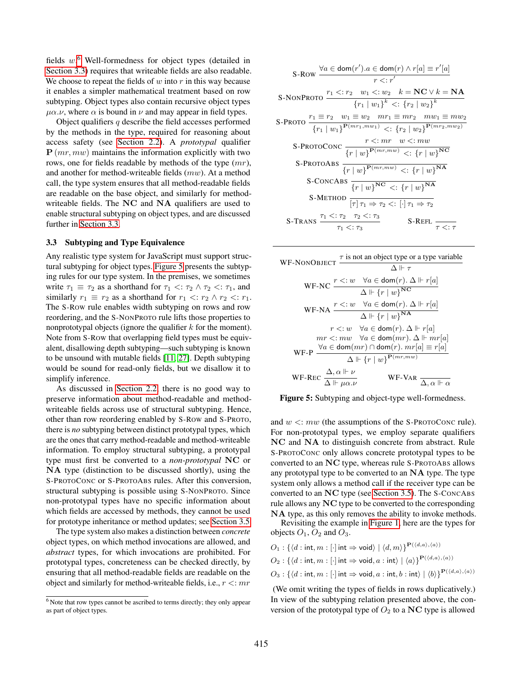fields  $w$ .<sup>[6](#page-5-1)</sup> Well-formedness for object types (detailed in [Section 3.3\)](#page-5-0) requires that writeable fields are also readable. We choose to repeat the fields of  $w$  into  $r$  in this way because it enables a simpler mathematical treatment based on row subtyping. Object types also contain recursive object types  $\mu\alpha.\nu$ , where  $\alpha$  is bound in  $\nu$  and may appear in field types.

Object qualifiers  $q$  describe the field accesses performed by the methods in the type, required for reasoning about access safety (see [Section 2.2\)](#page-2-11). A *prototypal* qualifier  $P(mr, mw)$  maintains the information explicitly with two rows, one for fields readable by methods of the type  $(mr)$ , and another for method-writeable fields (mw). At a method call, the type system ensures that all method-readable fields are readable on the base object, and similarly for methodwriteable fields. The NC and NA qualifiers are used to enable structural subtyping on object types, and are discussed further in [Section 3.3.](#page-5-0)

#### <span id="page-5-0"></span>3.3 Subtyping and Type Equivalence

Any realistic type system for JavaScript must support structural subtyping for object types. [Figure 5](#page-5-2) presents the subtyping rules for our type system. In the premises, we sometimes write  $\tau_1 \equiv \tau_2$  as a shorthand for  $\tau_1 \leq \tau_2 \wedge \tau_2 \leq \tau_1$ , and similarly  $r_1 \equiv r_2$  as a shorthand for  $r_1 \prec r_2 \land r_2 \prec r_1$ . The S-ROW rule enables width subtyping on rows and row reordering, and the S-NONPROTO rule lifts those properties to nonprototypal objects (ignore the qualifier  $k$  for the moment). Note from S-ROW that overlapping field types must be equivalent, disallowing depth subtyping—such subtyping is known to be unsound with mutable fields [\[11,](#page-18-15) [27\]](#page-18-16). Depth subtyping would be sound for read-only fields, but we disallow it to simplify inference.

As discussed in [Section 2.2,](#page-2-11) there is no good way to preserve information about method-readable and methodwriteable fields across use of structural subtyping. Hence, other than row reordering enabled by S-ROW and S-PROTO, there is *no* subtyping between distinct prototypal types, which are the ones that carry method-readable and method-writeable information. To employ structural subtyping, a prototypal type must first be converted to a *non-prototypal* NC or NA type (distinction to be discussed shortly), using the S-PROTOCONC or S-PROTOABS rules. After this conversion, structural subtyping is possible using S-NONPROTO. Since non-prototypal types have no specific information about which fields are accessed by methods, they cannot be used for prototype inheritance or method updates; see [Section 3.5.](#page-7-0)

The type system also makes a distinction between *concrete* object types, on which method invocations are allowed, and *abstract* types, for which invocations are prohibited. For prototypal types, concreteness can be checked directly, by ensuring that all method-readable fields are readable on the object and similarly for method-writeable fields, i.e.,  $r \leq m r$ 

<span id="page-5-2"></span>

| S-Row $\frac{\forall a \in \text{dom}(r').a \in \text{dom}(r) \land r[a] \equiv r'[a]}{r <: r'}$                                                                                             |
|----------------------------------------------------------------------------------------------------------------------------------------------------------------------------------------------|
|                                                                                                                                                                                              |
| $r_1 < r_2$ $w_1 < w_2$ $k = NC \vee k = NA$<br>S-NONPROTO                                                                                                                                   |
| ${r_1   w_1}^k <: {r_2   w_2}^k$                                                                                                                                                             |
| S-PROTO $\frac{r_1 \equiv r_2 \quad w_1 \equiv w_2 \quad mr_1 \equiv mr_2 \quad mw_1 \equiv mw_2}{\{r_1 \mid w_1\}^{\mathbf{P}(mr_1, mw_1)} \leq \{r_2 \mid w_2\}^{\mathbf{P}(mr_2, mw_2)}}$ |
|                                                                                                                                                                                              |
| S-PROTOCONC $\frac{r \leq m r \quad w \leq m w}{\{r \mid w\}^{\mathbf{P}(mr, mw)} \leq \{r \mid w\}^{\mathbf{NC}}}$                                                                          |
|                                                                                                                                                                                              |
| S-ProtoAbs —<br>$\{r   w\}^{\mathbf{P}(mr, mw)} \leq \{r   w\}^{\mathbf{NA}}$                                                                                                                |
| S-CONCABS $\frac{1}{r \mid w\}^{NC} \leq \frac{1}{r \mid w\}^{NA}$                                                                                                                           |
| S-METHOD $\boxed{\tau \tau_1 \Rightarrow \tau_2 \lt: [\cdot]\tau_1 \Rightarrow \tau_2}$                                                                                                      |
| S-TRANS $\frac{\tau_1 \leq \tau_2 \quad \tau_2 \leq \tau_3}{\tau_1 \leq \tau_3}$<br>S-REFL                                                                                                   |
| $\tau<\cdot$ $\tau$                                                                                                                                                                          |

| $\tau$ is not an object type or a type variable                                                                              |
|------------------------------------------------------------------------------------------------------------------------------|
| WF-NONOBJECT<br>$\wedge \Vdash \tau$                                                                                         |
| WF-NC $\frac{r \leq w \quad \forall a \in \text{dom}(r) \cdot \Delta \Vdash r[a]}{\Delta \Vdash \{r \mid w\}^{\text{NC}}}$   |
|                                                                                                                              |
| WF-NA $\frac{r \leq w \quad \forall a \in \text{dom}(r) \cdot \Delta \Vdash r[a]}{\Delta \Vdash \{r \mid w\}^{\textbf{NA}}}$ |
|                                                                                                                              |
| $r \leq w \quad \forall a \in \text{dom}(r)$ . $\Delta \Vdash r[a]$                                                          |
| $mr < m w \quad \forall a \in \text{dom}(mr)$ . $\Delta \Vdash mr[a]$                                                        |
| WF-P                                                                                                                         |
| $\frac{\forall a \in \text{dom}(mr) \cap \text{dom}(r). mr[a] \equiv r[a]}{\Delta \Vdash \{r \mid w\}^{\mathbf{P}(mr, mw)}}$ |
| WF-REC $\frac{\Delta, \alpha \Vdash \nu}{\Delta \Vdash \mu \alpha.\nu}$<br>WF-VAR $\frac{\ }{\Delta,\alpha\Vdash}$           |

Figure 5: Subtyping and object-type well-formedness.

and  $w \leq m w$  (the assumptions of the S-PROTOCONC rule). For non-prototypal types, we employ separate qualifiers NC and NA to distinguish concrete from abstract. Rule S-PROTOCONC only allows concrete prototypal types to be converted to an NC type, whereas rule S-PROTOABS allows any prototypal type to be converted to an NA type. The type system only allows a method call if the receiver type can be converted to an NC type (see [Section 3.5\)](#page-7-0). The S-CONCABS rule allows any NC type to be converted to the corresponding NA type, as this only removes the ability to invoke methods.

Revisiting the example in [Figure 1,](#page-2-1) here are the types for objects  $O_1$ ,  $O_2$  and  $O_3$ .

 $O_1$  : { $\langle d : \text{int}, m : [\cdot] \text{int} \Rightarrow \text{void} \rangle | \langle d, m \rangle$ }<sup>P( $\langle d, a \rangle, \langle a \rangle$ )</sup>

 $O_2$  : { $\langle d : \text{int}, m : [\cdot] \text{int} \Rightarrow \text{void}, a : \text{int} \rangle | \langle a \rangle \}^{\mathbf{P}(\langle d, a \rangle, \langle a \rangle)}$ 

 $O_3 : \{ \langle d : \mathsf{int}, m : [\cdot] \mathsf{int} \Rightarrow \mathsf{void}, a : \mathsf{int}, b : \mathsf{int} \rangle \mid \langle b \rangle\}^{\mathbf{P}(\langle d, a \rangle, \langle a \rangle)}$ 

(We omit writing the types of fields in rows duplicatively.) In view of the subtyping relation presented above, the conversion of the prototypal type of  $O_2$  to a NC type is allowed

<span id="page-5-1"></span> $6$  Note that row types cannot be ascribed to terms directly; they only appear as part of object types.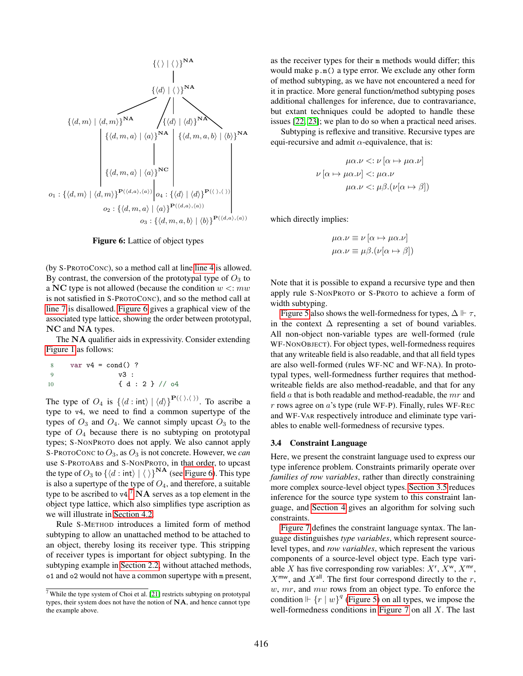<span id="page-6-0"></span>

Figure 6: Lattice of object types

(by S-PROTOCONC), so a method call at line [line 4](#page-2-10) is allowed. By contrast, the conversion of the prototypal type of  $O_3$  to a NC type is not allowed (because the condition  $w \leq m w$ is not satisfied in S-PROTOCONC), and so the method call at [line 7](#page-2-5) is disallowed. [Figure 6](#page-6-0) gives a graphical view of the associated type lattice, showing the order between prototypal, NC and NA types.

The NA qualifier aids in expressivity. Consider extending [Figure 1](#page-2-1) as follows:

8 var v4 = cond() ? 9 v3 : 10 { d : 2 } // o4

The type of  $O_4$  is  $\{\langle d : \text{int} \rangle \mid \langle d \rangle\}^{\mathbf{P}(\langle \rangle,\langle \rangle)}$ . To ascribe a type to v4, we need to find a common supertype of the types of  $O_3$  and  $O_4$ . We cannot simply upcast  $O_3$  to the type of  $O_4$  because there is no subtyping on prototypal types; S-NONPROTO does not apply. We also cannot apply S-PROTOCONC to  $O_3$ , as  $O_3$  is not concrete. However, we *can* use S-PROTOABS and S-NONPROTO, in that order, to upcast the type of  $O_3$  to  $\{\langle d : \text{int} \rangle | \langle \rangle\}^{NA}$  (see [Figure 6\)](#page-6-0). This type is also a supertype of the type of  $O_4$ , and therefore, a suitable type to be ascribed to  $v4.^7$  $v4.^7$   $NA$  serves as a top element in the object type lattice, which also simplifies type ascription as we will illustrate in [Section 4.2.](#page-10-0)

Rule S-METHOD introduces a limited form of method subtyping to allow an unattached method to be attached to an object, thereby losing its receiver type. This stripping of receiver types is important for object subtyping. In the subtyping example in [Section 2.2,](#page-2-11) without attached methods, o1 and o2 would not have a common supertype with m present,

as the receiver types for their m methods would differ; this would make p.m() a type error. We exclude any other form of method subtyping, as we have not encountered a need for it in practice. More general function/method subtyping poses additional challenges for inference, due to contravariance, but extant techniques could be adopted to handle these issues [\[22,](#page-18-17) [23\]](#page-18-9); we plan to do so when a practical need arises.

Subtyping is reflexive and transitive. Recursive types are equi-recursive and admit  $\alpha$ -equivalence, that is:

$$
\mu\alpha.\nu < : \nu \left[ \alpha \mapsto \mu\alpha.\nu \right]
$$
\n
$$
\nu \left[ \alpha \mapsto \mu\alpha.\nu \right] < : \mu\alpha.\nu
$$
\n
$$
\mu\alpha.\nu < : \mu\beta.(\nu[\alpha \mapsto \beta])
$$

which directly implies:

$$
\mu \alpha.\nu \equiv \nu [\alpha \mapsto \mu \alpha.\nu]
$$

$$
\mu \alpha.\nu \equiv \mu \beta. (\nu [\alpha \mapsto \beta])
$$

Note that it is possible to expand a recursive type and then apply rule S-NONPROTO or S-PROTO to achieve a form of width subtyping.

[Figure 5](#page-5-2) also shows the well-formedness for types,  $\Delta \Vdash \tau$ , in the context  $\Delta$  representing a set of bound variables. All non-object non-variable types are well-formed (rule WF-NONOBJECT). For object types, well-formedness requires that any writeable field is also readable, and that all field types are also well-formed (rules WF-NC and WF-NA). In prototypal types, well-formedness further requires that methodwriteable fields are also method-readable, and that for any field  $a$  that is both readable and method-readable, the  $mr$  and r rows agree on  $a$ 's type (rule WF-P). Finally, rules WF-REC and WF-VAR respectively introduce and eliminate type variables to enable well-formedness of recursive types.

#### <span id="page-6-2"></span>3.4 Constraint Language

Here, we present the constraint language used to express our type inference problem. Constraints primarily operate over *families of row variables*, rather than directly constraining more complex source-level object types. [Section 3.5](#page-7-0) reduces inference for the source type system to this constraint language, and [Section 4](#page-9-0) gives an algorithm for solving such constraints.

[Figure 7](#page-7-1) defines the constraint language syntax. The language distinguishes *type variables*, which represent sourcelevel types, and *row variables*, which represent the various components of a source-level object type. Each type variable X has five corresponding row variables:  $X^r$ ,  $\overline{X}^w$ ,  $X^{mr}$ ,  $X^{\text{mw}}$ , and  $X^{\text{all}}$ . The first four correspond directly to the r,  $w, mr$ , and  $mw$  rows from an object type. To enforce the condition  $\Vdash$   $\{r \mid w\}^q$  [\(Figure 5\)](#page-5-2) on all types, we impose the well-formedness conditions in [Figure 7](#page-7-1) on all  $X$ . The last

<span id="page-6-1"></span> $^7$  While the type system of Choi et al. [\[21\]](#page-18-8) restricts subtyping on prototypal types, their system does not have the notion of NA, and hence cannot type the example above.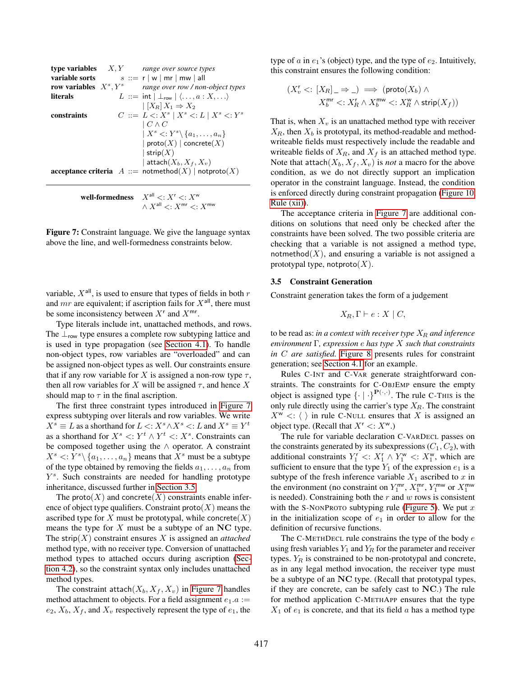<span id="page-7-1"></span>

|                 | <b>type variables</b> $X, Y$ range over source types                                |
|-----------------|-------------------------------------------------------------------------------------|
|                 | <b>variable sorts</b> $s ::= r   w   mr   mw   all$                                 |
|                 | <b>row variables</b> $X^s, Y^s$ range over row / non-object types                   |
| <b>literals</b> | $L ::= \mathsf{int}   \perp_{\mathsf{row}}   \langle \ldots, a : X, \ldots \rangle$ |
|                 | $\left  \left[ X_R \right] X_1 \Rightarrow X_2 \right $                             |
| constraints     | $C ::= L \lt: X^s \mid X^s \lt: L \mid X^s \lt: Y^s$                                |
|                 | $\mid C \wedge C$                                                                   |
|                 | $X^s \subset Y^s \setminus \{a_1, \ldots, a_n\}$                                    |
|                 | $ $ proto $(X)$ concrete $(X)$                                                      |
|                 | strip $(X)$                                                                         |
|                 | attach $(X_b, X_f, X_v)$                                                            |
|                 | <b>acceptance criteria</b> $A ::= \text{notmethod}(X)   \text{notproto}(X)$         |
|                 |                                                                                     |
|                 |                                                                                     |

| well-formedness $X^{\text{all}} \leq: X^{\text{r}} \leq: X^{\text{w}}$ |
|------------------------------------------------------------------------|
| $\wedge X^{\text{all}} \leq: X^{\text{mr}} \leq: X^{\text{mw}}$        |

Figure 7: Constraint language. We give the language syntax above the line, and well-formedness constraints below.

variable,  $X^{\text{all}}$ , is used to ensure that types of fields in both r and  $mr$  are equivalent; if ascription fails for  $X^{\text{all}}$ , there must be some inconsistency between  $X^r$  and  $X^{mr}$ .

Type literals include int, unattached methods, and rows. The  $\perp_{row}$  type ensures a complete row subtyping lattice and is used in type propagation (see [Section 4.1\)](#page-9-1). To handle non-object types, row variables are "overloaded" and can be assigned non-object types as well. Our constraints ensure that if any row variable for X is assigned a non-row type  $\tau$ , then all row variables for X will be assigned  $\tau$ , and hence X should map to  $\tau$  in the final ascription.

The first three constraint types introduced in [Figure 7](#page-7-1) express subtyping over literals and row variables. We write  $X^s \equiv L$  as a shorthand for  $L \lt: : X^s \wedge X^s \lt: : L$  and  $X^s \equiv Y^t$ as a shorthand for  $X^s \le Y^t \wedge Y^t \le X^s$ . Constraints can be composed together using the ∧ operator. A constraint  $X^s \le Y^s \setminus \{a_1, \ldots, a_n\}$  means that  $X^s$  must be a subtype of the type obtained by removing the fields  $a_1, \ldots, a_n$  from Y s . Such constraints are needed for handling prototype inheritance, discussed further in [Section 3.5.](#page-7-0)

The proto $(X)$  and concrete $(X)$  constraints enable inference of object type qualifiers. Constraint  $\text{proto}(X)$  means the ascribed type for X must be prototypal, while concrete $(X)$ means the type for  $X$  must be a subtype of an NC type. The strip $(X)$  constraint ensures X is assigned an *attached* method type, with no receiver type. Conversion of unattached method types to attached occurs during ascription [\(Sec](#page-10-0)[tion 4.2\)](#page-10-0), so the constraint syntax only includes unattached method types.

The constraint attach $(X_b, X_f, X_v)$  in [Figure 7](#page-7-1) handles method attachment to objects. For a field assignment  $e_1.a :=$  $e_2$ ,  $X_b$ ,  $X_f$ , and  $X_v$  respectively represent the type of  $e_1$ , the type of  $a$  in  $e_1$ 's (object) type, and the type of  $e_2$ . Intuitively, this constraint ensures the following condition:

$$
\begin{array}{c} (X^{\mathsf{r}}_v <: [X_R]_- \Rightarrow \_) \implies (\mathsf{proto}(X_b) \wedge \\ X^{\mathsf{mr}}_b <: X^{\mathsf{r}}_R \wedge X^{\mathsf{mw}}_b <: X^{\mathsf{w}}_R \wedge \mathsf{strip}(X_f)) \end{array}
$$

That is, when  $X_v$  is an unattached method type with receiver  $X_R$ , then  $X_b$  is prototypal, its method-readable and methodwriteable fields must respectively include the readable and writeable fields of  $X_R$ , and  $X_f$  is an attached method type. Note that attach $(X_b, X_f, X_v)$  is *not* a macro for the above condition, as we do not directly support an implication operator in the constraint language. Instead, the condition is enforced directly during constraint propagation [\(Figure 10,](#page-9-2) [Rule \(xii\)\)](#page-9-3).

The acceptance criteria in [Figure 7](#page-7-1) are additional conditions on solutions that need only be checked after the constraints have been solved. The two possible criteria are checking that a variable is not assigned a method type, notmethod $(X)$ , and ensuring a variable is not assigned a prototypal type, notproto $(X)$ .

## <span id="page-7-0"></span>3.5 Constraint Generation

Constraint generation takes the form of a judgement

$$
X_R, \Gamma \vdash e : X \mid C,
$$

to be read as: *in a context with receiver type*  $X_R$  *and inference environment* Γ*, expression* e *has type* X *such that constraints in* C *are satisfied.* [Figure 8](#page-8-0) presents rules for constraint generation; see [Section 4.1](#page-9-1) for an example.

Rules C-INT and C-VAR generate straightforward constraints. The constraints for C-OBJEMP ensure the empty object is assigned type  $\{\cdot | \cdot\}^{\mathbf{P}(\cdot, \cdot)}$ . The rule C-THIS is the only rule directly using the carrier's type  $X_R$ . The constraint  $X^{\mathsf{w}} \leq \langle \ \rangle$  in rule C-NULL ensures that X is assigned an object type. (Recall that  $X^r \leq X^w$ .)

The rule for variable declaration C-VARDECL passes on the constraints generated by its subexpressions  $(C_1, C_2)$ , with additional constraints  $Y_1^r$  <:  $X_1^r \wedge Y_1^w$  <:  $X_1^w$ , which are sufficient to ensure that the type  $Y_1$  of the expression  $e_1$  is a subtype of the fresh inference variable  $X_1$  ascribed to x in the environment (no constraint on  $Y_1^{\text{mr}}, X_1^{\text{mr}}, Y_1^{\text{mw}}$  or  $X_1^{\text{mw}}$ is needed). Constraining both the  $r$  and  $w$  rows is consistent with the S-NONPROTO subtyping rule [\(Figure 5\)](#page-5-2). We put  $x$ in the initialization scope of  $e_1$  in order to allow for the definition of recursive functions.

The C-METHDECL rule constrains the type of the body  $e$ using fresh variables  $Y_1$  and  $Y_R$  for the parameter and receiver types.  $Y_R$  is constrained to be non-prototypal and concrete, as in any legal method invocation, the receiver type must be a subtype of an NC type. (Recall that prototypal types, if they are concrete, can be safely cast to NC.) The rule for method application C-METHAPP ensures that the type  $X_1$  of  $e_1$  is concrete, and that its field a has a method type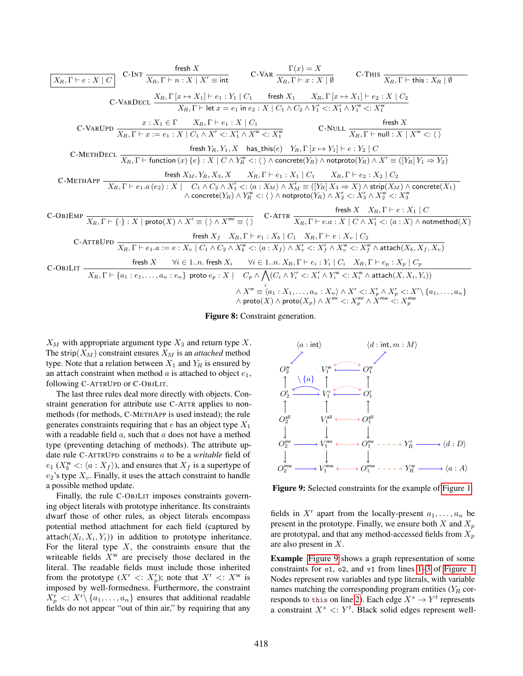<span id="page-8-0"></span>

| Example 7 | Test $X$ | Clearly, $Y = 0$ for $X$ and $X$ for $X$ for $X$ for $X$ for $X$ for $X$ for $X$ for $X$ for $X$ for $X$ for $X$ for $X$ for $X$ for $X$ for $X$ for $X$ for $X$ for $X$ for $X$ for $X$ for $X$ for $X$ for $X$ for $X$ for $X$ for $X$ for $X$ for $X$ for $X$ for $X$ for $X$ for $X$ for $X$ for $X$ for $X$ for $X$ for $X$ for $X$ for $X$ for $X$ for $X$ for $X$ for $X$ for $X$ for $X$ for $X$ for $X$ for $X$ for $X$ for $X$ for $X$ for $X$ for $X$ for $X$ for $X$ for $X$ for $X$ for $X$ for $X$ for $X$ for $X$ for $X$ for $X$ for $X$ for $X$ for $X$ for $X$ for $X$ for $X$ for $X$ for $X$ for $X$ for $X$ for $X$ for $X$ for $X$ for $X$ for $X$ for $X$ for $X$ for $X$ for $X$ for $X$ for $X$ for $X$ for $X$ for $X$ for $X$ for $X$ for $X$ for $X$ for $X$ for $X$ for $X$ for $X$ for $X$ for $X$ for $X$ for $X$ for $X$ for $X$ for $X$ |
|-----------|----------|--------------------------------------------------------------------------------------------------------------------------------------------------------------------------------------------------------------------------------------------------------------------------------------------------------------------------------------------------------------------------------------------------------------------------------------------------------------------------------------------------------------------------------------------------------------------------------------------------------------------------------------------------------------------------------------------------------------------------------------------------------------------------------------------------------------------------------------------------------------------------|
|-----------|----------|--------------------------------------------------------------------------------------------------------------------------------------------------------------------------------------------------------------------------------------------------------------------------------------------------------------------------------------------------------------------------------------------------------------------------------------------------------------------------------------------------------------------------------------------------------------------------------------------------------------------------------------------------------------------------------------------------------------------------------------------------------------------------------------------------------------------------------------------------------------------------|

Figure 8: Constraint generation.

 $X_M$  with appropriate argument type  $X_3$  and return type X. The strip( $X_M$ ) constraint ensures  $X_M$  is an *attached* method type. Note that a relation between  $X_1$  and  $Y_R$  is ensured by an attach constraint when method  $\alpha$  is attached to object  $e_1$ , following C-ATTRUPD or C-OBJLIT.

The last three rules deal more directly with objects. Constraint generation for attribute use C-ATTR applies to nonmethods (for methods, C-METHAPP is used instead); the rule generates constraints requiring that e has an object type  $X_1$ with a readable field  $a$ , such that  $a$  does not have a method type (preventing detaching of methods). The attribute update rule C-ATTRUPD constrains a to be a *writable* field of  $e_1$  ( $X_b^{\mathsf{w}}$  <:  $\langle a : X_f \rangle$ ), and ensures that  $X_f$  is a supertype of  $e_2$ 's type  $X_v$ . Finally, it uses the attach constraint to handle a possible method update.

Finally, the rule C-OBJLIT imposes constraints governing object literals with prototype inheritance. Its constraints dwarf those of other rules, as object literals encompass potential method attachment for each field (captured by attach $(X_l, X_i, Y_i)$  in addition to prototype inheritance. For the literal type  $X$ , the constraints ensure that the writeable fields  $X^w$  are precisely those declared in the literal. The readable fields must include those inherited from the prototype  $(X^r \leq: X_p^r)$ ; note that  $X^r \leq: X^w$  is imposed by well-formedness. Furthermore, the constraint  $X_p^r$  <:  $X^r \setminus \{a_1, \ldots, a_n\}$  ensures that additional readable fields do not appear "out of thin air," by requiring that any

<span id="page-8-1"></span>

Figure 9: Selected constraints for the example of [Figure 1.](#page-2-1)

fields in  $X^r$  apart from the locally-present  $a_1, \ldots, a_n$  be present in the prototype. Finally, we ensure both X and  $X_p$ are prototypal, and that any method-accessed fields from  $X_p$ are also present in X.

Example [Figure 9](#page-8-1) shows a graph representation of some constraints for o1, o2, and v1 from lines [1](#page-2-12)[–3](#page-2-13) of [Figure 1.](#page-2-1) Nodes represent row variables and type literals, with variable names matching the corresponding program entities  $(Y_R \text{ cor-}$ responds to this on line [2\)](#page-2-9). Each edge  $X^s \to Y^t$  represents a constraint  $X^s \leq Y^t$ . Black solid edges represent well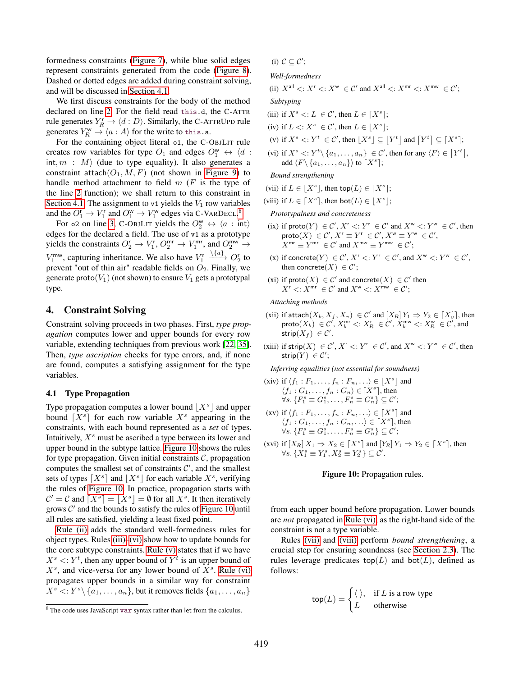formedness constraints [\(Figure 7\)](#page-7-1), while blue solid edges represent constraints generated from the code [\(Figure 8\)](#page-8-0). Dashed or dotted edges are added during constraint solving, and will be discussed in [Section 4.1.](#page-9-1)

We first discuss constraints for the body of the method declared on line [2.](#page-2-9) For the field read this.d, the C-ATTR rule generates  $Y_R^r \to \langle d : D \rangle$ . Similarly, the C-ATTRUPD rule generates  $Y_R^{\omega} \to \langle a : A \rangle$  for the write to this.a.

For the containing object literal o1, the C-OBJLIT rule creates row variables for type  $O_1$  and edges  $O_1^{\omega} \leftrightarrow \langle d \rangle$ : int,  $m : M$  (due to type equality). It also generates a constraint attach $(O_1, M, F)$  (not shown in [Figure 9\)](#page-8-1) to handle method attachment to field  $m$  ( $F$  is the type of the line [2](#page-2-9) function); we shall return to this constraint in [Section 4.1.](#page-9-1) The assignment to v1 yields the  $V_1$  row variables and the  $O_1^r \to V_1^r$  and  $O_1^w \to V_1^w$  edges via C-VARDECL.<sup>[8](#page-9-4)</sup>

For 02 on line [3,](#page-2-13) C-OBJLIT yields the  $O_2^{\omega} \leftrightarrow \langle a : \text{int} \rangle$ edges for the declared a field. The use of v1 as a prototype yields the constraints  $O_2^r \rightarrow V_1^r$ ,  $O_2^{mr} \rightarrow V_1^{mr}$ , and  $O_2^{mw} \rightarrow$  $V_1^{\text{mw}}$ , capturing inheritance. We also have  $V_1^{\text{r}}$  $\longrightarrow O_2^r$  to prevent "out of thin air" readable fields on  $O_2$ . Finally, we generate proto $(V_1)$  (not shown) to ensure  $V_1$  gets a prototypal type.

# <span id="page-9-0"></span>4. Constraint Solving

Constraint solving proceeds in two phases. First, *type propagation* computes lower and upper bounds for every row variable, extending techniques from previous work [\[22,](#page-18-17) [35\]](#page-19-2). Then, *type ascription* checks for type errors, and, if none are found, computes a satisfying assignment for the type variables.

# <span id="page-9-1"></span>4.1 Type Propagation

Type propagation computes a lower bound  $\lfloor X^s \rfloor$  and upper bound  $[X^s]$  for each row variable  $X^s$  appearing in the constraints, with each bound represented as a *set* of types. Intuitively,  $X<sup>s</sup>$  must be ascribed a type between its lower and upper bound in the subtype lattice. [Figure 10](#page-9-2) shows the rules for type propagation. Given initial constraints  $C$ , propagation computes the smallest set of constraints  $C'$ , and the smallest sets of types  $[X^s]$  and  $[X^s]$  for each variable  $X^s$ , verifying the rules of [Figure 10.](#page-9-2) In practice, propagation starts with  $\mathcal{C}' = \mathcal{C}$  and  $\lceil X^s \rceil = \lfloor X^s \rfloor = \emptyset$  for all  $X^s$ . It then iteratively grows  $C'$  and the bounds to satisfy the rules of [Figure 10](#page-9-2) until all rules are satisfied, yielding a least fixed point.

[Rule \(ii\)](#page-9-5) adds the standard well-formedness rules for object types. Rules [\(iii\)–](#page-9-6)[\(vi\)](#page-9-7) show how to update bounds for the core subtype constraints. [Rule \(v\)](#page-9-8) states that if we have  $X^s \le Y^t$ , then any upper bound of  $Y^t$  is an upper bound of  $X<sup>s</sup>$ , and vice-versa for any lower bound of  $X<sup>s</sup>$ . [Rule \(vi\)](#page-9-7) propagates upper bounds in a similar way for constraint  $X^s \leq Y^s \setminus \{a_1, \ldots, a_n\}$ , but it removes fields  $\{a_1, \ldots, a_n\}$ 

<span id="page-9-2"></span>(i)  $C \subseteq C'$ ;

*Well-formedness*

<span id="page-9-5"></span>(ii)  $X^{\text{all}} \lt: X^{\text{r}} \lt: X^{\text{w}} \in \mathcal{C}'$  and  $X^{\text{all}} \lt: X^{\text{mr}} \lt: X^{\text{mw}} \in \mathcal{C}'$ ;

*Subtyping*

<span id="page-9-6"></span>(iii) if  $X^s \le L \in \mathcal{C}'$ , then  $L \in [X^s];$ 

(iv) if  $L \leq X^s \in \mathcal{C}'$ , then  $L \in [X^s];$ 

<span id="page-9-8"></span>(v) if  $X^s \leq Y^t \in \mathcal{C}'$ , then  $|X^s| \subseteq |Y^t|$  and  $|Y^t| \subseteq |X^s|$ ;

<span id="page-9-7"></span>(vi) if  $X^s \le Y^t \setminus \{a_1, \ldots, a_n\} \in \mathcal{C}'$ , then for any  $\langle F \rangle \in [Y^t]$ , add  $\langle F \setminus \{a_1, \ldots, a_n\}\rangle$  to  $\lceil X^s \rceil$ ;

*Bound strengthening*

- <span id="page-9-9"></span>(vii) if  $L \in [X^s]$ , then top $(L) \in [X^s]$ ;
- <span id="page-9-10"></span>(viii) if  $L \in [X^s]$ , then bot $(L) \in [X^s]$ ;

*Prototypalness and concreteness*

- <span id="page-9-11"></span>(ix) if  $\textsf{proto}(Y) \in \mathcal{C}'$ ,  $X^r \le Y^r \in \mathcal{C}'$  and  $X^w \le Y^w \in \mathcal{C}'$ , then  $\mathsf{proto}(X) \stackrel{\cdot}{\in} \mathcal{C}', X^{\mathsf{r}} \equiv Y^{\mathsf{r}} \in \mathcal{C}', X^{\mathsf{w}} \equiv Y^{\mathsf{w}} \in \mathcal{C}',$  $X^{\mathsf{mr}} \equiv Y^{\mathsf{mr}} \in \mathcal{C}'$  and  $X^{\mathsf{mw}} \equiv Y^{\mathsf{mw}} \in \mathcal{C}'$ ;
- <span id="page-9-13"></span>(x) if concrete(Y)  $\in \mathcal{C}'$ ,  $X^r <: Y^r \in \mathcal{C}'$ , and  $X^w <: Y^w \in \mathcal{C}'$ , then concrete $(X) \in \mathcal{C}'$ ;
- <span id="page-9-12"></span>(xi) if  $\text{proto}(X) \in \mathcal{C}'$  and concrete $(X) \in \mathcal{C}'$  then  $X^r$  <:  $\hat{X}^{mr}$   $\in \mathcal{C}'$  and  $X^w$  <:  $\hat{X}^{mw}$   $\in \mathcal{C}'$ ;

*Attaching methods*

- <span id="page-9-3"></span>(xii) if attach $(X_b, X_f, X_v) \in \mathcal{C}'$  and  $[X_R] Y_1 \Rightarrow Y_2 \in [X_v^r]$ , then  $\mathsf{proto}(X_b) \in \mathcal{C}'$ ,  $X_b^{\mathsf{mr}} \lt: X_R \in \mathcal{C}'$ ,  $X_b^{\mathsf{mw}} \lt: X_R^{\mathsf{w}} \in \mathcal{C}'$ , and strip $(X_f) \in \mathcal{C}'$ .
- <span id="page-9-14"></span>(xiii) if strip $(X) \in \mathcal{C}'$ ,  $X^r <: Y^r \in \mathcal{C}'$ , and  $X^w <: Y^w \in \mathcal{C}'$ , then  $\mathsf{strip}(Y) \in \mathcal{C}';$

*Inferring equalities (not essential for soundness)*

- <span id="page-9-15"></span>(xiv) if  $\langle f_1 : F_1, \ldots, f_n : F_n, \ldots \rangle \in \lfloor X^s \rfloor$  and  $\langle f_1:G_1,\ldots,f_n:G_n\rangle\in [X^s]$ , then  $\forall s. \{F_1^s \equiv G_1^s, \ldots, F_n^s \equiv G_n^s\} \subseteq \mathcal{C}';$
- <span id="page-9-17"></span>(xv) if  $\langle f_1 : F_1, \ldots, f_n : F_n, \ldots \rangle \in [X^s]$  and  $\langle f_1:G_1,\ldots,f_n:G_n,\ldots\rangle\in \lceil X^s\rceil$ , then  $\forall s. \{F_1^s \equiv G_1^s, \ldots, F_n^s \equiv G_n^s\} \subseteq \mathcal{C}';$
- <span id="page-9-16"></span>(xvi) if  $[X_R] X_1 \Rightarrow X_2 \in [X^s]$  and  $[Y_R] Y_1 \Rightarrow Y_2 \in [X^s]$ , then  $\forall s. \{X_1^s \equiv Y_1^s, X_2^s \equiv Y_2^s\} \subseteq \mathcal{C}'.$

#### Figure 10: Propagation rules.

from each upper bound before propagation. Lower bounds are *not* propagated in [Rule \(vi\),](#page-9-7) as the right-hand side of the constraint is not a type variable.

Rules [\(vii\)](#page-9-9) and [\(viii\)](#page-9-10) perform *bound strengthening*, a crucial step for ensuring soundness (see [Section 2.3\)](#page-3-0). The rules leverage predicates top $(L)$  and bot $(L)$ , defined as follows:

$$
top(L) = \begin{cases} \langle \ \rangle, & \text{if } L \text{ is a row type} \\ L & \text{otherwise} \end{cases}
$$

<span id="page-9-4"></span><sup>8</sup> The code uses JavaScript var syntax rather than let from the calculus.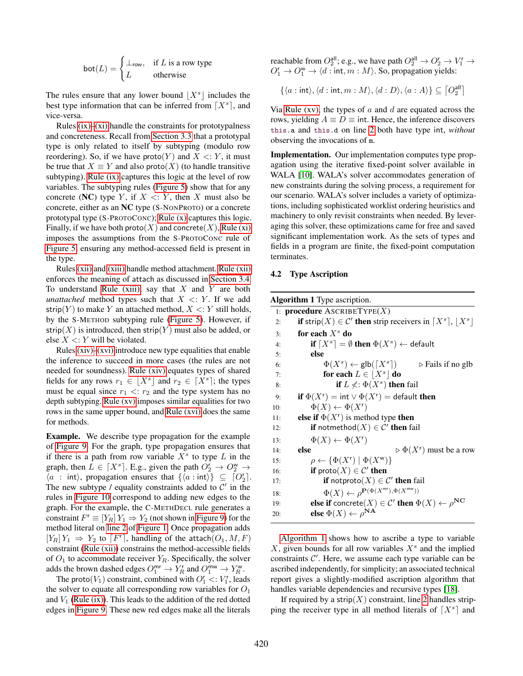$$
bot(L) = \begin{cases} \bot_{\text{row}}, & \text{if } L \text{ is a row type} \\ L & \text{otherwise} \end{cases}
$$

The rules ensure that any lower bound  $\lfloor X^s \rfloor$  includes the best type information that can be inferred from  $[X^s]$ , and vice-versa.

Rules  $(ix)$ – $(xi)$  handle the constraints for prototypalness and concreteness. Recall from [Section 3.3](#page-5-0) that a prototypal type is only related to itself by subtyping (modulo row reordering). So, if we have proto $(Y)$  and  $X \le Y$ , it must be true that  $X \equiv Y$  and also proto(X) (to handle transitive subtyping). [Rule \(ix\)](#page-9-11) captures this logic at the level of row variables. The subtyping rules [\(Figure 5\)](#page-5-2) show that for any concrete (NC) type Y, if  $X \le Y$ , then X must also be concrete, either as an NC type (S-NONPROTO) or a concrete prototypal type (S-PROTOCONC); [Rule \(x\)](#page-9-13) captures this logic. Finally, if we have both proto(X) and concrete(X), [Rule \(xi\)](#page-9-12) imposes the assumptions from the S-PROTOCONC rule of [Figure 5,](#page-5-2) ensuring any method-accessed field is present in the type.

Rules [\(xii\)](#page-9-3) and [\(xiii\)](#page-9-14) handle method attachment. [Rule \(xii\)](#page-9-3) enforces the meaning of attach as discussed in [Section 3.4.](#page-6-2) To understand [Rule \(xiii\),](#page-9-14) say that  $X$  and  $Y$  are both *unattached* method types such that  $X \leq Y$ . If we add strip(Y) to make Y an attached method,  $X \le Y$  still holds, by the S-METHOD subtyping rule [\(Figure 5\)](#page-5-2). However, if strip(X) is introduced, then strip(Y) must also be added, or else  $X \le Y$  will be violated.

Rules [\(xiv\)](#page-9-15)[–\(xvi\)](#page-9-16) introduce new type equalities that enable the inference to succeed in more cases (the rules are not needed for soundness). [Rule \(xiv\)](#page-9-15) equates types of shared fields for any rows  $r_1 \in \lfloor X^s \rfloor$  and  $r_2 \in \lceil X^s \rceil$ ; the types must be equal since  $r_1 \leq r_2$  and the type system has no depth subtyping. [Rule \(xv\)](#page-9-17) imposes similar equalities for two rows in the same upper bound, and [Rule \(xvi\)](#page-9-16) does the same for methods.

Example. We describe type propagation for the example of [Figure 9.](#page-8-1) For the graph, type propagation ensures that if there is a path from row variable  $X<sup>s</sup>$  to type  $L$  in the graph, then  $\overline{L} \in [X^s]$ . E.g., given the path  $\overline{O_2^r} \to \overline{O_2^w} \to$  $\langle a : \text{int} \rangle$ , propagation ensures that  $\{ \langle a : \text{int} \rangle \} \subseteq [O_2']$ . The new subtype / equality constraints added to  $C'$  in the rules in [Figure 10](#page-9-2) correspond to adding new edges to the graph. For the example, the C-METHDECL rule generates a constraint  $F^r \equiv [Y_R] Y_1 \Rightarrow Y_2$  (not shown in [Figure 9\)](#page-8-1) for the method literal on [line 2](#page-2-9) of [Figure 1.](#page-2-1) Once propagation adds  $[Y_R] Y_1 \Rightarrow Y_2$  to  $[F^r]$ , handling of the attach $(O_1, M, F)$ constraint [\(Rule \(xii\)\)](#page-9-3) constrains the method-accessible fields of  $O_1$  to accommodate receiver  $Y_R$ . Specifically, the solver adds the brown dashed edges  $O_1^{\text{mr}} \to Y_R^r$  and  $O_1^{\text{mw}} \to Y_R^{\text{w}}$ .

The proto( $V_1$ ) constraint, combined with  $O_1^r$  <:  $V_1^r$ , leads the solver to equate all corresponding row variables for  $O_1$ and  $V_1$  [\(Rule \(ix\)\)](#page-9-11). This leads to the addition of the red dotted edges in [Figure 9.](#page-8-1) These new red edges make all the literals reachable from  $O_2^{\text{all}}$ ; e.g., we have path  $O_2^{\text{all}} \to O_2^r \to V_1^r \to$  $O_1^r \rightarrow O_1^w \rightarrow \langle d : \text{int}, m : M \rangle$ . So, propagation yields:

 $\{\langle a : \text{int} \rangle, \langle d : \text{int}, m : M \rangle, \langle d : D \rangle, \langle a : A \rangle\} \subseteq [O_2^{\text{all}}]$ all $\frac{1}{2}$ 

Via [Rule \(xv\),](#page-9-17) the types of  $a$  and  $d$  are equated across the rows, yielding  $A \equiv D \equiv \text{int}$ . Hence, the inference discovers this.a and this.d on line [2](#page-2-9) both have type int, *without* observing the invocations of m.

Implementation. Our implementation computes type propagation using the iterative fixed-point solver available in WALA [\[10\]](#page-18-18). WALA's solver accommodates generation of new constraints during the solving process, a requirement for our scenario. WALA's solver includes a variety of optimizations, including sophisticated worklist ordering heuristics and machinery to only revisit constraints when needed. By leveraging this solver, these optimizations came for free and saved significant implementation work. As the sets of types and fields in a program are finite, the fixed-point computation terminates.

#### <span id="page-10-0"></span>4.2 Type Ascription

<span id="page-10-1"></span>

| <b>Algorithm 1</b> Type ascription.                                                           |  |
|-----------------------------------------------------------------------------------------------|--|
| 1: <b>procedure</b> ASCRIBETYPE $(X)$                                                         |  |
| <b>if</b> strip $(X) \in \mathcal{C}'$ then strip receivers in $[X^s], [X^s]$<br>2:           |  |
| for each $X^s$ do<br>3:                                                                       |  |
| if $[X^s] = \emptyset$ then $\Phi(X^s) \leftarrow$ default<br>4:                              |  |
| else<br>5:                                                                                    |  |
| $\Phi(X^s) \leftarrow \text{glb}(\lceil X^s \rceil) \qquad \Rightarrow$ Fails if no glb<br>6: |  |
| for each $L \in  X^s $ do<br>7:                                                               |  |
| <b>if</b> $L \nless: \Phi(X^s)$ then fail<br>8:                                               |  |
| if $\Phi(X^r) = \text{int} \vee \Phi(X^r) = \text{default}$ then<br>9:                        |  |
| $\Phi(X) \leftarrow \Phi(X^r)$<br>10:                                                         |  |
| else if $\Phi(X^r)$ is method type then<br>11:                                                |  |
| <b>if</b> notmethod $(X) \in \mathcal{C}'$ then fail<br>12:                                   |  |
| $\Phi(X) \leftarrow \Phi(X^r)$<br>13:                                                         |  |
| $\triangleright \Phi(X^r)$ must be a row<br>else<br>14:                                       |  |
| $\rho \leftarrow {\Phi(X^r)   \Phi(X^w) }$<br>15:                                             |  |
| <b>if</b> proto $(X) \in \mathcal{C}'$ then<br>16:                                            |  |
| <b>if</b> notproto $(X) \in \mathcal{C}'$ then fail<br>17:                                    |  |
| $\Phi(X) \leftarrow \rho^{\mathbf{P}(\Phi(X^{\mathsf{mr}}), \Phi(X^{\mathsf{mw}}))}$<br>18:   |  |
| else if concrete $(X) \in \mathcal{C}'$ then $\Phi(X) \leftarrow \rho^{\mathbf{NC}}$<br>19:   |  |
| else $\Phi(X) \leftarrow \rho^{NA}$<br>20:                                                    |  |
|                                                                                               |  |

[Algorithm 1](#page-10-1) shows how to ascribe a type to variable  $X$ , given bounds for all row variables  $X<sup>s</sup>$  and the implied constraints  $C'$ . Here, we assume each type variable can be ascribed independently, for simplicity; an associated technical report gives a slightly-modified ascription algorithm that handles variable dependencies and recursive types [\[18\]](#page-18-14).

If required by a strip( $X$ ) constraint, line [2](#page-10-1) handles stripping the receiver type in all method literals of  $[X^s]$  and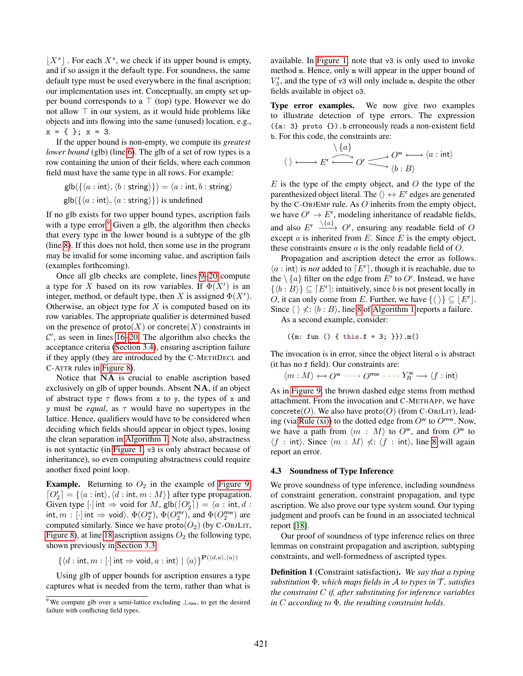$[X^s]$ . For each  $X^s$ , we check if its upper bound is empty, and if so assign it the default type. For soundness, the same default type must be used everywhere in the final ascription; our implementation uses int. Conceptually, an empty set upper bound corresponds to a  $\top$  (top) type. However we do not allow ⊤ in our system, as it would hide problems like objects and ints flowing into the same (unused) location, e.g.,  $x = \{\}$ ;  $x = 3$ .

If the upper bound is non-empty, we compute its *greatest lower bound* (glb) (line [6\)](#page-10-1). The glb of a set of row types is a row containing the union of their fields, where each common field must have the same type in all rows. For example:

$$
\mathsf{glb}(\{\langle a : \mathsf{int}\rangle, \langle b : \mathsf{string}\rangle\}) = \langle a : \mathsf{int}, b : \mathsf{string}\rangle
$$
  

$$
\mathsf{glb}(\{\langle a : \mathsf{int}\rangle, \langle a : \mathsf{string}\rangle\})
$$
 is undefined

If no glb exists for two upper bound types, ascription fails with a type error.<sup>[9](#page-11-0)</sup> Given a glb, the algorithm then checks that every type in the lower bound is a subtype of the glb (line [8\)](#page-10-1). If this does not hold, then some use in the program may be invalid for some incoming value, and ascription fails (examples forthcoming).

Once all glb checks are complete, lines [9–20](#page-10-1) compute a type for X based on its row variables. If  $\Phi(X^r)$  is an integer, method, or default type, then X is assigned  $\Phi(X^r)$ . Otherwise, an object type for  $X$  is computed based on its row variables. The appropriate qualifier is determined based on the presence of  $\text{proto}(X)$  or concrete(X) constraints in  $\mathcal{C}'$ , as seen in lines [16–20.](#page-10-1) The algorithm also checks the acceptance criteria [\(Section 3.4\)](#page-6-2), ensuring ascription failure if they apply (they are introduced by the C-METHDECL and C-ATTR rules in [Figure 8\)](#page-8-0).

Notice that NA is crucial to enable ascription based exclusively on glb of upper bounds. Absent NA, if an object of abstract type  $\tau$  flows from x to y, the types of x and y must be *equal*, as  $\tau$  would have no supertypes in the lattice. Hence, qualifiers would have to be considered when deciding which fields should appear in object types, losing the clean separation in [Algorithm 1.](#page-10-1) Note also, abstractness is not syntactic (in [Figure 1,](#page-2-1) v3 is only abstract because of inheritance), so even computing abstractness could require another fixed point loop.

**Example.** Returning to  $O_2$  in the example of [Figure 9,](#page-8-1)  $[O_2^r] = {\langle a : \text{int} \rangle, \langle d : \text{int}, m : M \rangle}$  after type propagation. Given type  $[\cdot]$  int  $\Rightarrow$  void for M,  $\text{glb}(\lceil O_2^r \rceil) = \langle a : \text{int}, d :$ int,  $m : [\cdot]$  int  $\Rightarrow$  void).  $\Phi(O_2^{\text{w}}), \Phi(O_2^{\text{mr}}),$  and  $\Phi(O_2^{\text{mw}})$  are computed similarly. Since we have  $\text{proto}(O_2)$  (by C-OBJLIT, [Figure 8\)](#page-8-0), at line [18](#page-10-1) ascription assigns  $O_2$  the following type, shown previously in [Section 3.3:](#page-5-0)

$$
\{ \langle d : \mathsf{int}, m : [\cdot] \mathsf{int} \Rightarrow \mathsf{void}, a : \mathsf{int} \rangle \mid \langle a \rangle \}^{\mathbf{P}(\langle d, a \rangle, \langle a \rangle)}
$$

Using glb of upper bounds for ascription ensures a type captures what is needed from the term, rather than what is

available. In [Figure 1,](#page-2-1) note that v3 is only used to invoke method m. Hence, only m will appear in the upper bound of  $V_3^r$ , and the type of v3 will only include m, despite the other fields available in object o3.

Type error examples. We now give two examples to illustrate detection of type errors. The expression ({a: 3} proto {}).b erroneously reads a non-existent field b. For this code, the constraints are:

$$
\langle \rangle \longleftrightarrow E^r \stackrel{\setminus \{a\}}{\longleftrightarrow} O^r \longrightarrow O^w \longleftrightarrow \langle a : \text{int} \rangle
$$

 $E$  is the type of the empty object, and  $O$  the type of the parenthesized object literal. The  $\langle \rangle \leftrightarrow E^r$  edges are generated by the C-OBJEMP rule. As O inherits from the empty object, we have  $O^r \to E^r$ , modeling inheritance of readable fields, and also  $E^r \xrightarrow{\setminus \{a\}} O^r$ , ensuring any readable field of O except  $a$  is inherited from  $E$ . Since  $E$  is the empty object, these constraints ensure  $a$  is the only readable field of  $O$ .

Propagation and ascription detect the error as follows.  $\langle a : \text{int} \rangle$  is *not* added to  $\lceil E^r \rceil$ , though it is reachable, due to the  $\setminus \{a\}$  filter on the edge from  $E^{\dagger}$  to  $O^{\dagger}$ . Instead, we have  $\{\langle b : B \rangle\} \subseteq [E^r]$ : intuitively, since b is not present locally in O, it can only come from E. Further, we have  $\{ \langle \ \rangle \} \subseteq [E^r]$ . Since  $\langle \ \rangle \nless : \langle b : B \rangle$ , line [8](#page-10-1) of [Algorithm 1](#page-10-1) reports a failure.

As a second example, consider:

 $({m: fun () f this.f = 3; })).m()$ 

The invocation is in error, since the object literal o is abstract (it has no f field). Our constraints are:

$$
\langle m:M\rangle\longleftrightarrow O^{\sf w}\xrightarrow{\hspace*{1cm}} O^{{\sf mw}\hspace*{1cm}}\dashrightarrow Y^{\sf w}_R\longrightarrow \langle f:{\sf int}\rangle
$$

As in [Figure 9,](#page-8-1) the brown dashed edge stems from method attachment. From the invocation and C-METHAPP, we have concrete(O). We also have proto(O) (from C-OBJLIT), lead-ing (via [Rule \(xi\)\)](#page-9-12) to the dotted edge from  $O^w$  to  $O^{mw}$ . Now, we have a path from  $\langle m : M \rangle$  to  $O^w$ , and from  $O^w$  to  $\langle f : \text{int} \rangle$ . Since  $\langle m : M \rangle \nless \langle f : \text{int} \rangle$ , line [8](#page-10-1) will again report an error.

#### 4.3 Soundness of Type Inference

We prove soundness of type inference, including soundness of constraint generation, constraint propagation, and type ascription. We also prove our type system sound. Our typing judgment and proofs can be found in an associated technical report [\[18\]](#page-18-14).

Our proof of soundness of type inference relies on three lemmas on constraint propagation and ascription, subtyping constraints, and well-formedness of ascripted types.

Definition 1 (Constraint satisfaction). *We say that a typing substitution* Φ*, which maps fields in* A *to types in* T *, satisfies the constraint* C *if, after substituting for inference variables in* C *according to* Φ*, the resulting constraint holds.*

<span id="page-11-0"></span><sup>&</sup>lt;sup>9</sup> We compute glb over a semi-lattice excluding  $\perp_{row}$ , to get the desired failure with conflicting field types.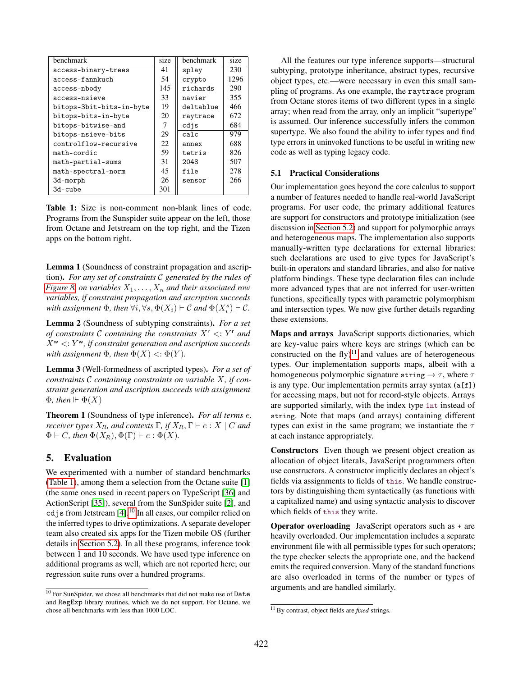<span id="page-12-2"></span>

| benchmark                | size | benchmark | size |
|--------------------------|------|-----------|------|
| access-binary-trees      | 41   | splay     | 230  |
| access-fannkuch          | 54   | crypto    | 1296 |
| access-nbody             | 145  | richards  | 290  |
| access-nsieve            | 33   | navier    | 355  |
| bitops-3bit-bits-in-byte | 19   | deltablue | 466  |
| bitops-bits-in-byte      | 20   | raytrace  | 672  |
| bitops-bitwise-and       |      | cdjs      | 684  |
| bitops-nsieve-bits       | 29   | calc      | 979  |
| controlflow-recursive    | 22   | annex     | 688  |
| math-cordic              | 59   | tetris    | 826  |
| math-partial-sums        | 31   | 2048      | 507  |
| math-spectral-norm       | 45   | file      | 278  |
| 3d-morph                 | 26   | sensor    | 266  |
| 3d-cube                  | 301  |           |      |

Table 1: Size is non-comment non-blank lines of code. Programs from the Sunspider suite appear on the left, those from Octane and Jetstream on the top right, and the Tizen apps on the bottom right.

Lemma 1 (Soundness of constraint propagation and ascription). *For any set of constraints* C *generated by the rules of [Figure 8,](#page-8-0) on variables*  $X_1, \ldots, X_n$  *and their associated row variables, if constraint propagation and ascription succeeds* with assignment  $\Phi$ , then  $\forall i, \forall s, \Phi(X_i) \vdash C$  and  $\Phi(X_i^s) \vdash C$ .

Lemma 2 (Soundness of subtyping constraints). *For a set of constraints* C *containing the constraints* X<sup>r</sup> <: Y <sup>r</sup> *and*  $X^{\mathsf{w}}$   $\lt: Y^{\mathsf{w}}$ , if constraint generation and ascription succeeds *with assignment*  $\Phi$ *, then*  $\Phi(X) \le \Phi(Y)$ *.* 

Lemma 3 (Well-formedness of ascripted types). *For a set of constraints* C *containing constraints on variable* X*, if constraint generation and ascription succeeds with assignment*  $\Phi$ *, then*  $\Vdash \Phi(X)$ 

Theorem 1 (Soundness of type inference). *For all terms* e*, receiver types*  $X_R$ *, and contexts*  $\Gamma$ *, if*  $X_R$ ,  $\Gamma \vdash e : X \mid C$  *and*  $\Phi \vdash C$ *, then*  $\Phi(X_R)$ ,  $\Phi(\Gamma) \vdash e : \Phi(X)$ *.* 

# <span id="page-12-0"></span>5. Evaluation

We experimented with a number of standard benchmarks [\(Table 1\)](#page-12-2), among them a selection from the Octane suite [\[1\]](#page-18-10) (the same ones used in recent papers on TypeScript [\[36\]](#page-19-1) and ActionScript [\[35\]](#page-19-2)), several from the SunSpider suite [\[2\]](#page-18-19), and cdjs from Jetstream [\[4\]](#page-18-20).[10](#page-12-3) In all cases, our compiler relied on the inferred types to drive optimizations. A separate developer team also created six apps for the Tizen mobile OS (further details in [Section 5.2\)](#page-13-0). In all these programs, inference took between 1 and 10 seconds. We have used type inference on additional programs as well, which are not reported here; our regression suite runs over a hundred programs.

All the features our type inference supports—structural subtyping, prototype inheritance, abstract types, recursive object types, etc.—were necessary in even this small sampling of programs. As one example, the raytrace program from Octane stores items of two different types in a single array; when read from the array, only an implicit "supertype" is assumed. Our inference successfully infers the common supertype. We also found the ability to infer types and find type errors in uninvoked functions to be useful in writing new code as well as typing legacy code.

## <span id="page-12-1"></span>5.1 Practical Considerations

Our implementation goes beyond the core calculus to support a number of features needed to handle real-world JavaScript programs. For user code, the primary additional features are support for constructors and prototype initialization (see discussion in [Section 5.2\)](#page-13-0) and support for polymorphic arrays and heterogeneous maps. The implementation also supports manually-written type declarations for external libraries: such declarations are used to give types for JavaScript's built-in operators and standard libraries, and also for native platform bindings. These type declaration files can include more advanced types that are not inferred for user-written functions, specifically types with parametric polymorphism and intersection types. We now give further details regarding these extensions.

Maps and arrays JavaScript supports dictionaries, which are key-value pairs where keys are strings (which can be constructed on the fly $)^{11}$  $)^{11}$  $)^{11}$  and values are of heterogeneous types. Our implementation supports maps, albeit with a homogeneous polymorphic signature string  $\rightarrow \tau$ , where  $\tau$ is any type. Our implementation permits array syntax  $(a[f])$ for accessing maps, but not for record-style objects. Arrays are supported similarly, with the index type int instead of string. Note that maps (and arrays) containing different types can exist in the same program; we instantiate the  $\tau$ at each instance appropriately.

Constructors Even though we present object creation as allocation of object literals, JavaScript programmers often use constructors. A constructor implicitly declares an object's fields via assignments to fields of this. We handle constructors by distinguishing them syntactically (as functions with a capitalized name) and using syntactic analysis to discover which fields of this they write.

Operator overloading JavaScript operators such as + are heavily overloaded. Our implementation includes a separate environment file with all permissible types for such operators; the type checker selects the appropriate one, and the backend emits the required conversion. Many of the standard functions are also overloaded in terms of the number or types of arguments and are handled similarly.

<span id="page-12-3"></span> $^{10}$  For SunSpider, we chose all benchmarks that did not make use of  ${\tt Date}$ and RegExp library routines, which we do not support. For Octane, we chose all benchmarks with less than 1000 LOC.

<span id="page-12-4"></span><sup>11</sup> By contrast, object fields are *fixed* strings.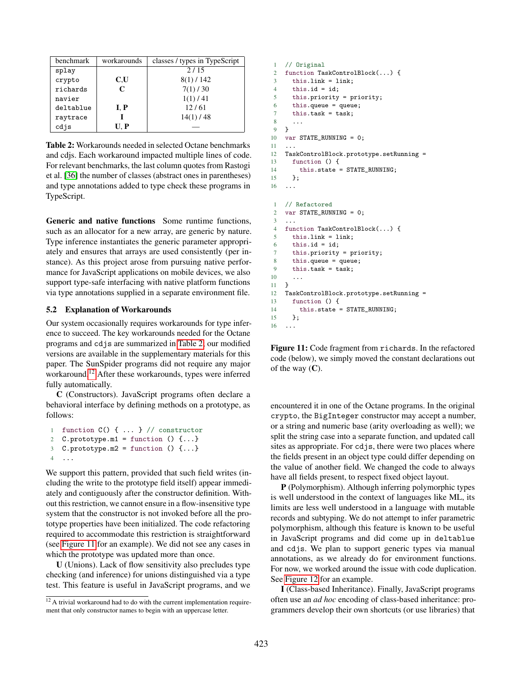<span id="page-13-1"></span>

| benchmark | workarounds | classes / types in TypeScript |
|-----------|-------------|-------------------------------|
| splay     |             | 2/15                          |
| crypto    | C.U         | $8(1)$ / 142                  |
| richards  | $\mathbf C$ | 7(1)/30                       |
| navier    |             | 1(1)/41                       |
| deltablue | I, P        | 12/61                         |
| raytrace  |             | $14(1)$ / 48                  |
| cdjs      | U. P        |                               |

Table 2: Workarounds needed in selected Octane benchmarks and cdjs. Each workaround impacted multiple lines of code. For relevant benchmarks, the last column quotes from Rastogi et al. [\[36\]](#page-19-1) the number of classes (abstract ones in parentheses) and type annotations added to type check these programs in TypeScript.

Generic and native functions Some runtime functions, such as an allocator for a new array, are generic by nature. Type inference instantiates the generic parameter appropriately and ensures that arrays are used consistently (per instance). As this project arose from pursuing native performance for JavaScript applications on mobile devices, we also support type-safe interfacing with native platform functions via type annotations supplied in a separate environment file.

## <span id="page-13-0"></span>5.2 Explanation of Workarounds

Our system occasionally requires workarounds for type inference to succeed. The key workarounds needed for the Octane programs and cdjs are summarized in [Table 2;](#page-13-1) our modified versions are available in the supplementary materials for this paper. The SunSpider programs did not require any major workaround.[12](#page-13-2) After these workarounds, types were inferred fully automatically.

C (Constructors). JavaScript programs often declare a behavioral interface by defining methods on a prototype, as follows:

```
1 function C() { ... } // constructor
2 C.prototype.m1 = function () \{ \ldots \}3 C.prototype.m2 = function () \{ \ldots \}\overline{4}
```
We support this pattern, provided that such field writes (including the write to the prototype field itself) appear immediately and contiguously after the constructor definition. Without this restriction, we cannot ensure in a flow-insensitive type system that the constructor is not invoked before all the prototype properties have been initialized. The code refactoring required to accommodate this restriction is straightforward (see [Figure 11](#page-13-3) for an example). We did not see any cases in which the prototype was updated more than once.

U (Unions). Lack of flow sensitivity also precludes type checking (and inference) for unions distinguished via a type test. This feature is useful in JavaScript programs, and we

```
1 // Original
2 function TaskControlBlock(...) {
3 this.link = link;
4 this.id = id;
5 this.priority = priority;
6 this.queue = queue;
7 this.task = task;
 8 ...
9 }
10 var STATE_RUNNING = 0;
11 ...
12 TaskControlBlock.prototype.setRunning =
13 function () {
14 this.state = STATE_RUNNING;
15 };
16 ...
1 // Refactored
2 var STATE_RUNNING = 0;
3 ...
4 function TaskControlBlock(...) {
5 this.link = link;
6 this.id = id;
7 this.priority = priority;
8 this.queue = queue;
9 this.task = task;
10 ...
11 }
12 TaskControlBlock.prototype.setRunning =
13 function () {
14 this.state = STATE_RUNNING;
15 };
16 \ldots
```
Figure 11: Code fragment from richards. In the refactored code (below), we simply moved the constant declarations out of the way  $(C)$ .

encountered it in one of the Octane programs. In the original crypto, the BigInteger constructor may accept a number, or a string and numeric base (arity overloading as well); we split the string case into a separate function, and updated call sites as appropriate. For cdjs, there were two places where the fields present in an object type could differ depending on the value of another field. We changed the code to always have all fields present, to respect fixed object layout.

P (Polymorphism). Although inferring polymorphic types is well understood in the context of languages like ML, its limits are less well understood in a language with mutable records and subtyping. We do not attempt to infer parametric polymorphism, although this feature is known to be useful in JavaScript programs and did come up in deltablue and cdjs. We plan to support generic types via manual annotations, as we already do for environment functions. For now, we worked around the issue with code duplication. See [Figure 12](#page-14-0) for an example.

I (Class-based Inheritance). Finally, JavaScript programs often use an *ad hoc* encoding of class-based inheritance: programmers develop their own shortcuts (or use libraries) that

<span id="page-13-2"></span> $12$  A trivial workaround had to do with the current implementation requirement that only constructor names to begin with an uppercase letter.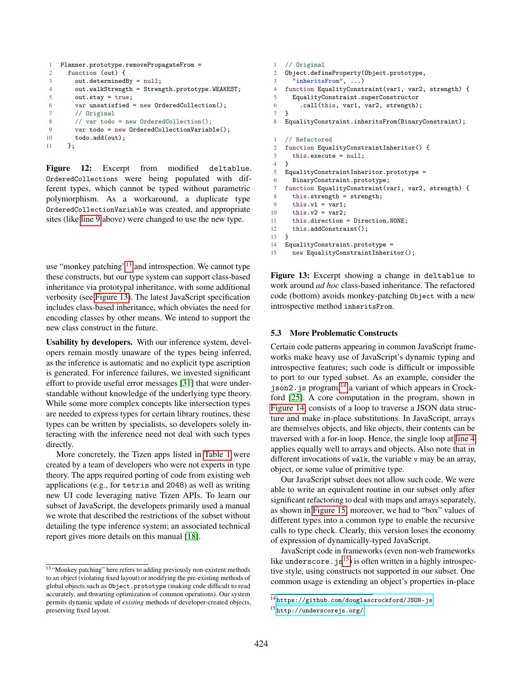```
1 Planner.prototype.removePropagateFrom =
2 function (out) {
3 out.determinedBy = null;
4 out.walkStrength = Strength.prototype.WEAKEST;
5 out.stay = true;
6 var unsatisfied = new OrderedCollection();
7 // Original
8 // var todo = new OrderedCollection();
9 var todo = new OrderedCollectionVariable();
10 todo.add(out);
11 };
```
<span id="page-14-1"></span>Figure 12: Excerpt from modified deltablue. OrderedCollections were being populated with different types, which cannot be typed without parametric polymorphism. As a workaround, a duplicate type OrderedCollectionVariable was created, and appropriate sites (like [line 9](#page-14-1) above) were changed to use the new type.

use "monkey patching"<sup>[13](#page-14-2)</sup> and introspection. We cannot type these constructs, but our type system can support class-based inheritance via prototypal inheritance, with some additional verbosity (see [Figure 13\)](#page-14-3). The latest JavaScript specification includes class-based inheritance, which obviates the need for encoding classes by other means. We intend to support the new class construct in the future.

Usability by developers. With our inference system, developers remain mostly unaware of the types being inferred, as the inference is automatic and no explicit type ascription is generated. For inference failures, we invested significant effort to provide useful error messages [\[31\]](#page-18-21) that were understandable without knowledge of the underlying type theory. While some more complex concepts like intersection types are needed to express types for certain library routines, these types can be written by specialists, so developers solely interacting with the inference need not deal with such types directly.

More concretely, the Tizen apps listed in [Table 1](#page-12-2) were created by a team of developers who were not experts in type theory. The apps required porting of code from existing web applications (e.g., for tetris and 2048) as well as writing new UI code leveraging native Tizen APIs. To learn our subset of JavaScript, the developers primarily used a manual we wrote that described the restrictions of the subset without detailing the type inference system; an associated technical report gives more details on this manual [\[18\]](#page-18-14).

```
1 // Original
2 Object.defineProperty(Object.prototype,
3 "inheritsFrom", ...)
4 function EqualityConstraint(var1, var2, strength) {
5 EqualityConstraint.superConstructor
6 .call(this, var1, var2, strength);
7 }
8 EqualityConstraint.inheritsFrom(BinaryConstraint);
1 // Refactored
2 function EqualityConstraintInheritor() {
3 this.execute = null;
4 }
5 EqualityConstraintInheritor.prototype =
6 BinaryConstraint.prototype;
7 function EqualityConstraint(var1, var2, strength) {
8 this.strength = strength;
9 this.v1 = var1;
10 this.v2 = var2;
11 this.direction = Direction.NONE;
12 this.addConstraint();
13 }
14 EqualityConstraint.prototype =<br>15 new EqualityConstraintInheri
      new EqualityConstraintInheritor();
```
Figure 13: Excerpt showing a change in deltablue to work around *ad hoc* class-based inheritance. The refactored code (bottom) avoids monkey-patching Object with a new introspective method inheritsFrom.

## 5.3 More Problematic Constructs

Certain code patterns appearing in common JavaScript frameworks make heavy use of JavaScript's dynamic typing and introspective features; such code is difficult or impossible to port to our typed subset. As an example, consider the  $j$ son2.  $j$ s program,  $14$  a variant of which appears in Crockford [\[25\]](#page-18-22). A core computation in the program, shown in [Figure 14,](#page-15-0) consists of a loop to traverse a JSON data structure and make in-place substitutions. In JavaScript, arrays are themselves objects, and like objects, their contents can be traversed with a for-in loop. Hence, the single loop at [line 4](#page-15-1) applies equally well to arrays and objects. Also note that in different invocations of walk, the variable v may be an array, object, or some value of primitive type.

Our JavaScript subset does not allow such code. We were able to write an equivalent routine in our subset only after significant refactoring to deal with maps and arrays separately, as shown in [Figure 15;](#page-15-2) moreover, we had to "box" values of different types into a common type to enable the recursive calls to type check. Clearly, this version loses the economy of expression of dynamically-typed JavaScript.

JavaScript code in frameworks (even non-web frameworks like underscore.  $j s^{15}$  $j s^{15}$  $j s^{15}$ ) is often written in a highly introspective style, using constructs not supported in our subset. One common usage is extending an object's properties in-place

<span id="page-14-2"></span><sup>13</sup> "Monkey patching" here refers to adding previously non-existent methods to an object (violating fixed layout) or modifying the pre-existing methods of global objects such as Object.prototype (making code difficult to read accurately, and thwarting optimization of common operations). Our system permits dynamic update of *existing* methods of developer-created objects, preserving fixed layout.

<span id="page-14-4"></span><sup>14</sup> <https://github.com/douglascrockford/JSON-js>

<span id="page-14-5"></span><sup>15</sup> <http://underscorejs.org/>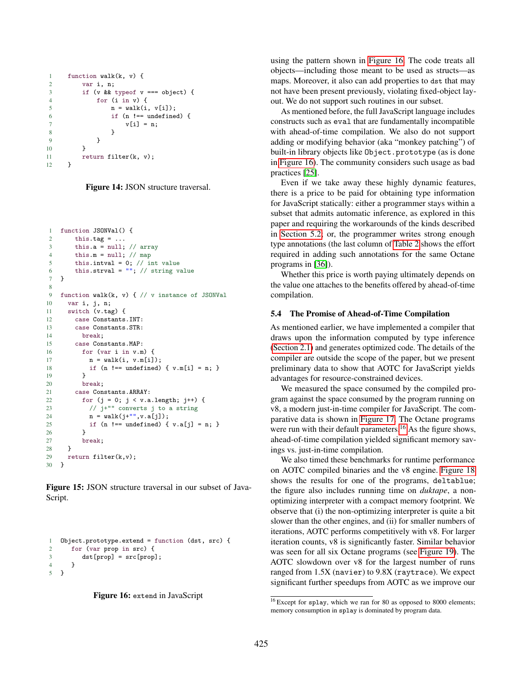```
1 function walk(k, v) {
2 var i, n;
3 if (v && typeof v === object) {
4 for (i in v) {
5 n = walk(i, v[i]);6 if (n != = undefined) {
7 v[i] = n;8 }
9 }
10 }
11 return filter(k, v);
12 }
```
Figure 14: JSON structure traversal.

```
1 function JSONVal() {
2 this.tag = \dots3 this.a = null; // array4 this.m = null; // map5 this.intval = 0; // int value
6 this.strval = "; // string value
7 }
8
9 function walk(k, v) { // v instance of JSONVal
10 var i, j, n;
11 switch (v.tag) {
12 case Constants.INT:
13 case Constants.STR:
14 break;
15 case Constants.MAP:
16 for (var i in v.m) {
17 n = walk(i, v.m[i]);18 if (n !== undefined) { v.m[i] = n; }
19 }
20 break;
21 case Constants.ARRAY:
22 for (j = 0; j < v.a.length; j++) {<br>
\frac{2}{3} // j+1" converts i to a string
           \frac{1}{2} j+"" converts j to a string
24 n = walk(j+"", v.a[j]);
25 if (n !== undefined) \{ v.a[i] = n; \}26 }
27 break;<br>28 }
28 }
29 return filter(k,v);<br>30 }
30
```
Figure 15: JSON structure traversal in our subset of Java-Script.

```
1 Object.prototype.extend = function (dst, src) {
2 for (var prop in src) {
3 \text{ dist}[\text{prop}] = \text{src}[\text{prop}];4 }
5 }
```


using the pattern shown in [Figure 16.](#page-15-3) The code treats all objects—including those meant to be used as structs—as maps. Moreover, it also can add properties to dst that may not have been present previously, violating fixed-object layout. We do not support such routines in our subset.

As mentioned before, the full JavaScript language includes constructs such as eval that are fundamentally incompatible with ahead-of-time compilation. We also do not support adding or modifying behavior (aka "monkey patching") of built-in library objects like Object.prototype (as is done in [Figure 16\)](#page-15-3). The community considers such usage as bad practices [\[25\]](#page-18-22).

Even if we take away these highly dynamic features, there is a price to be paid for obtaining type information for JavaScript statically: either a programmer stays within a subset that admits automatic inference, as explored in this paper and requiring the workarounds of the kinds described in [Section 5.2;](#page-13-0) or, the programmer writes strong enough type annotations (the last column of [Table 2](#page-13-1) shows the effort required in adding such annotations for the same Octane programs in [\[36\]](#page-19-1)).

Whether this price is worth paying ultimately depends on the value one attaches to the benefits offered by ahead-of-time compilation.

# 5.4 The Promise of Ahead-of-Time Compilation

As mentioned earlier, we have implemented a compiler that draws upon the information computed by type inference [\(Section 2.1\)](#page-2-0) and generates optimized code. The details of the compiler are outside the scope of the paper, but we present preliminary data to show that AOTC for JavaScript yields advantages for resource-constrained devices.

We measured the space consumed by the compiled program against the space consumed by the program running on v8, a modern just-in-time compiler for JavaScript. The comparative data is shown in [Figure 17.](#page-16-1) The Octane programs were run with their default parameters.<sup>[16](#page-15-4)</sup> As the figure shows, ahead-of-time compilation yielded significant memory savings vs. just-in-time compilation.

We also timed these benchmarks for runtime performance on AOTC compiled binaries and the v8 engine. [Figure 18](#page-16-2) shows the results for one of the programs, deltablue; the figure also includes running time on *duktape*, a nonoptimizing interpreter with a compact memory footprint. We observe that (i) the non-optimizing interpreter is quite a bit slower than the other engines, and (ii) for smaller numbers of iterations, AOTC performs competitively with v8. For larger iteration counts, v8 is significantly faster. Similar behavior was seen for all six Octane programs (see [Figure 19\)](#page-16-3). The AOTC slowdown over v8 for the largest number of runs ranged from 1.5X (navier) to 9.8X (raytrace). We expect significant further speedups from AOTC as we improve our

<span id="page-15-4"></span> $\frac{16}{16}$  Except for splay, which we ran for 80 as opposed to 8000 elements; memory consumption in splay is dominated by program data.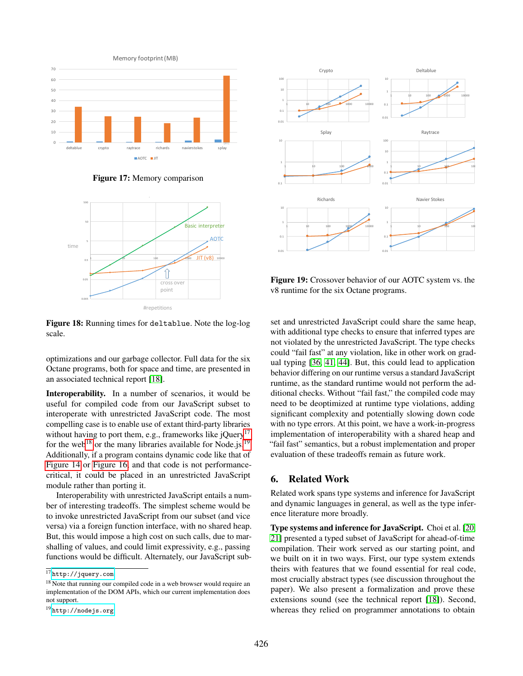<span id="page-16-1"></span>

Figure 17: Memory comparison

<span id="page-16-2"></span>

Figure 18: Running times for deltablue. Note the log-log scale.

optimizations and our garbage collector. Full data for the six Octane programs, both for space and time, are presented in an associated technical report [\[18\]](#page-18-14).

Interoperability. In a number of scenarios, it would be useful for compiled code from our JavaScript subset to interoperate with unrestricted JavaScript code. The most compelling case is to enable use of extant third-party libraries without having to port them, e.g., frameworks like  $iQuery$ <sup>[17](#page-16-4)</sup> for the web<sup>[18](#page-16-5)</sup> or the many libraries available for Node.js.<sup>[19](#page-16-6)</sup> Additionally, if a program contains dynamic code like that of [Figure 14](#page-15-0) or [Figure 16,](#page-15-3) and that code is not performancecritical, it could be placed in an unrestricted JavaScript module rather than porting it.

Interoperability with unrestricted JavaScript entails a number of interesting tradeoffs. The simplest scheme would be to invoke unrestricted JavaScript from our subset (and vice versa) via a foreign function interface, with no shared heap. But, this would impose a high cost on such calls, due to marshalling of values, and could limit expressivity, e.g., passing functions would be difficult. Alternately, our JavaScript sub-

<span id="page-16-3"></span>

Figure 19: Crossover behavior of our AOTC system vs. the v8 runtime for the six Octane programs.

set and unrestricted JavaScript could share the same heap, with additional type checks to ensure that inferred types are not violated by the unrestricted JavaScript. The type checks could "fail fast" at any violation, like in other work on gradual typing [\[36,](#page-19-1) [41,](#page-19-4) [44\]](#page-19-5). But, this could lead to application behavior differing on our runtime versus a standard JavaScript runtime, as the standard runtime would not perform the additional checks. Without "fail fast," the compiled code may need to be deoptimized at runtime type violations, adding significant complexity and potentially slowing down code with no type errors. At this point, we have a work-in-progress implementation of interoperability with a shared heap and "fail fast" semantics, but a robust implementation and proper evaluation of these tradeoffs remain as future work.

# <span id="page-16-0"></span>6. Related Work

Related work spans type systems and inference for JavaScript and dynamic languages in general, as well as the type inference literature more broadly.

Type systems and inference for JavaScript. Choi et al. [\[20,](#page-18-12) [21\]](#page-18-8) presented a typed subset of JavaScript for ahead-of-time compilation. Their work served as our starting point, and we built on it in two ways. First, our type system extends theirs with features that we found essential for real code, most crucially abstract types (see discussion throughout the paper). We also present a formalization and prove these extensions sound (see the technical report [\[18\]](#page-18-14)). Second, whereas they relied on programmer annotations to obtain

<span id="page-16-4"></span> $17$  <http://jquery.com>

<span id="page-16-5"></span><sup>&</sup>lt;sup>18</sup> Note that running our compiled code in a web browser would require an implementation of the DOM APIs, which our current implementation does not support.

<span id="page-16-6"></span><sup>19</sup> <http://nodejs.org>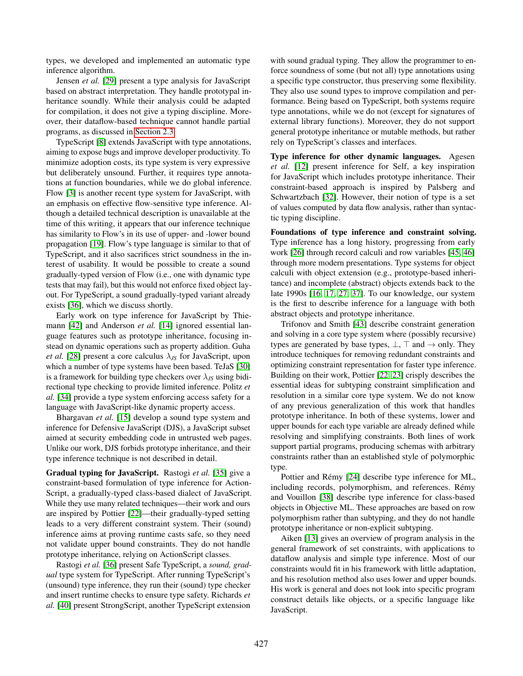types, we developed and implemented an automatic type inference algorithm.

Jensen *et al.* [\[29\]](#page-18-6) present a type analysis for JavaScript based on abstract interpretation. They handle prototypal inheritance soundly. While their analysis could be adapted for compilation, it does not give a typing discipline. Moreover, their dataflow-based technique cannot handle partial programs, as discussed in [Section 2.3.](#page-3-0)

TypeScript [\[8\]](#page-18-3) extends JavaScript with type annotations, aiming to expose bugs and improve developer productivity. To minimize adoption costs, its type system is very expressive but deliberately unsound. Further, it requires type annotations at function boundaries, while we do global inference. Flow [\[3\]](#page-18-4) is another recent type system for JavaScript, with an emphasis on effective flow-sensitive type inference. Although a detailed technical description is unavailable at the time of this writing, it appears that our inference technique has similarity to Flow's in its use of upper- and -lower bound propagation [\[19\]](#page-18-23). Flow's type language is similar to that of TypeScript, and it also sacrifices strict soundness in the interest of usability. It would be possible to create a sound gradually-typed version of Flow (i.e., one with dynamic type tests that may fail), but this would not enforce fixed object layout. For TypeScript, a sound gradually-typed variant already exists [\[36\]](#page-19-1), which we discuss shortly.

Early work on type inference for JavaScript by Thiemann [\[42\]](#page-19-6) and Anderson *et al.* [\[14\]](#page-18-24) ignored essential language features such as prototype inheritance, focusing instead on dynamic operations such as property addition. Guha *et al.* [\[28\]](#page-18-25) present a core calculus  $\lambda_{JS}$  for JavaScript, upon which a number of type systems have been based. TeJaS [\[30\]](#page-18-26) is a framework for building type checkers over  $\lambda_{JS}$  using bidirectional type checking to provide limited inference. Politz *et al.* [\[34\]](#page-19-7) provide a type system enforcing access safety for a language with JavaScript-like dynamic property access.

Bhargavan *et al.* [\[15\]](#page-18-5) develop a sound type system and inference for Defensive JavaScript (DJS), a JavaScript subset aimed at security embedding code in untrusted web pages. Unlike our work, DJS forbids prototype inheritance, and their type inference technique is not described in detail.

Gradual typing for JavaScript. Rastogi *et al.* [\[35\]](#page-19-2) give a constraint-based formulation of type inference for Action-Script, a gradually-typed class-based dialect of JavaScript. While they use many related techniques—their work and ours are inspired by Pottier [\[22\]](#page-18-17)—their gradually-typed setting leads to a very different constraint system. Their (sound) inference aims at proving runtime casts safe, so they need not validate upper bound constraints. They do not handle prototype inheritance, relying on ActionScript classes.

Rastogi *et al.* [\[36\]](#page-19-1) present Safe TypeScript, a *sound, gradual* type system for TypeScript. After running TypeScript's (unsound) type inference, they run their (sound) type checker and insert runtime checks to ensure type safety. Richards *et al.* [\[40\]](#page-19-8) present StrongScript, another TypeScript extension with sound gradual typing. They allow the programmer to enforce soundness of some (but not all) type annotations using a specific type constructor, thus preserving some flexibility. They also use sound types to improve compilation and performance. Being based on TypeScript, both systems require type annotations, while we do not (except for signatures of external library functions). Moreover, they do not support general prototype inheritance or mutable methods, but rather rely on TypeScript's classes and interfaces.

Type inference for other dynamic languages. Agesen *et al.* [\[12\]](#page-18-7) present inference for Self, a key inspiration for JavaScript which includes prototype inheritance. Their constraint-based approach is inspired by Palsberg and Schwartzbach [\[32\]](#page-19-9). However, their notion of type is a set of values computed by data flow analysis, rather than syntactic typing discipline.

Foundations of type inference and constraint solving. Type inference has a long history, progressing from early work [\[26\]](#page-18-13) through record calculi and row variables [\[45,](#page-19-10) [46\]](#page-19-11) through more modern presentations. Type systems for object calculi with object extension (e.g., prototype-based inheritance) and incomplete (abstract) objects extends back to the late 1990s [\[16,](#page-18-27) [17,](#page-18-28) [27,](#page-18-16) [37\]](#page-19-12). To our knowledge, our system is the first to describe inference for a language with both abstract objects and prototype inheritance.

Trifonov and Smith [\[43\]](#page-19-13) describe constraint generation and solving in a core type system where (possibly recursive) types are generated by base types,  $\bot$ ,  $\top$  and  $\rightarrow$  only. They introduce techniques for removing redundant constraints and optimizing constraint representation for faster type inference. Building on their work, Pottier [\[22,](#page-18-17) [23\]](#page-18-9) crisply describes the essential ideas for subtyping constraint simplification and resolution in a similar core type system. We do not know of any previous generalization of this work that handles prototype inheritance. In both of these systems, lower and upper bounds for each type variable are already defined while resolving and simplifying constraints. Both lines of work support partial programs, producing schemas with arbitrary constraints rather than an established style of polymorphic type.

Pottier and Rémy [\[24\]](#page-18-29) describe type inference for ML, including records, polymorphism, and references. Rémy and Vouillon [\[38\]](#page-19-14) describe type inference for class-based objects in Objective ML. These approaches are based on row polymorphism rather than subtyping, and they do not handle prototype inheritance or non-explicit subtyping.

Aiken [\[13\]](#page-18-30) gives an overview of program analysis in the general framework of set constraints, with applications to dataflow analysis and simple type inference. Most of our constraints would fit in his framework with little adaptation, and his resolution method also uses lower and upper bounds. His work is general and does not look into specific program construct details like objects, or a specific language like JavaScript.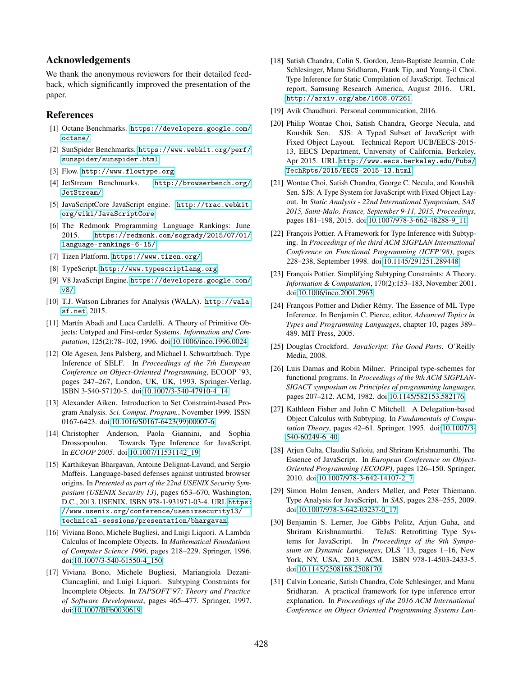# Acknowledgements

We thank the anonymous reviewers for their detailed feedback, which significantly improved the presentation of the paper.

# References

- <span id="page-18-10"></span>[1] Octane Benchmarks. [https://developers.google.com/](https://developers.google.com/octane/) [octane/](https://developers.google.com/octane/).
- <span id="page-18-19"></span>[2] SunSpider Benchmarks. [https://www.webkit.org/perf/](https://www.webkit.org/perf/sunspider/sunspider.html) [sunspider/sunspider.html](https://www.webkit.org/perf/sunspider/sunspider.html).
- <span id="page-18-4"></span>[3] Flow. <http://www.flowtype.org>.
- <span id="page-18-20"></span>[4] JetStream Benchmarks. [http://browserbench.org/](http://browserbench.org/JetStream/) [JetStream/](http://browserbench.org/JetStream/).
- <span id="page-18-1"></span>[5] JavaScriptCore JavaScript engine. [http://trac.webkit.](http://trac.webkit.org/wiki/JavaScriptCore) [org/wiki/JavaScriptCore](http://trac.webkit.org/wiki/JavaScriptCore).
- <span id="page-18-0"></span>[6] The Redmonk Programming Language Rankings: June 2015. [https://redmonk.com/sogrady/2015/07/01/](https://redmonk.com/sogrady/2015/07/01/language-rankings-6-15/) [language-rankings-6-15/](https://redmonk.com/sogrady/2015/07/01/language-rankings-6-15/).
- <span id="page-18-11"></span>[7] Tizen Platform. <https://www.tizen.org/>.
- <span id="page-18-3"></span>[8] TypeScript. <http://www.typescriptlang.org>.
- <span id="page-18-2"></span>[9] V8 JavaScript Engine. [https://developers.google.com/](https://developers.google.com/v8/) [v8/](https://developers.google.com/v8/).
- <span id="page-18-18"></span>[10] T.J. Watson Libraries for Analysis (WALA). [http://wala.](http://wala.sf.net) [sf.net](http://wala.sf.net), 2015.
- <span id="page-18-15"></span>[11] Martín Abadi and Luca Cardelli. A Theory of Primitive Objects: Untyped and First-order Systems. *Information and Computation*, 125(2):78–102, 1996. doi[:10.1006/inco.1996.0024.](http://dx.doi.org/10.1006/inco.1996.0024)
- <span id="page-18-7"></span>[12] Ole Agesen, Jens Palsberg, and Michael I. Schwartzbach. Type Inference of SELF. In *Proceedings of the 7th European Conference on Object-Oriented Programming*, ECOOP '93, pages 247–267, London, UK, UK, 1993. Springer-Verlag. ISBN 3-540-57120-5. doi[:10.1007/3-540-47910-4\\_14.](http://dx.doi.org/10.1007/3-540-47910-4_14)
- <span id="page-18-30"></span>[13] Alexander Aiken. Introduction to Set Constraint-based Program Analysis. *Sci. Comput. Program.*, November 1999. ISSN 0167-6423. doi[:10.1016/S0167-6423\(99\)00007-6.](http://dx.doi.org/10.1016/S0167-6423(99)00007-6)
- <span id="page-18-24"></span>[14] Christopher Anderson, Paola Giannini, and Sophia Drossopoulou. Towards Type Inference for JavaScript. In *ECOOP 2005*. doi[:10.1007/11531142\\_19.](http://dx.doi.org/10.1007/11531142_19)
- <span id="page-18-5"></span>[15] Karthikeyan Bhargavan, Antoine Delignat-Lavaud, and Sergio Maffeis. Language-based defenses against untrusted browser origins. In *Presented as part of the 22nd USENIX Security Symposium (USENIX Security 13)*, pages 653–670, Washington, D.C., 2013. USENIX. ISBN 978-1-931971-03-4. URL [https:](https://www.usenix.org/conference/usenixsecurity13/technical-sessions/presentation/bhargavan) [//www.usenix.org/conference/usenixsecurity13/](https://www.usenix.org/conference/usenixsecurity13/technical-sessions/presentation/bhargavan) [technical-sessions/presentation/bhargavan](https://www.usenix.org/conference/usenixsecurity13/technical-sessions/presentation/bhargavan).
- <span id="page-18-27"></span>[16] Viviana Bono, Michele Bugliesi, and Luigi Liquori. A Lambda Calculus of Incomplete Objects. In *Mathematical Foundations of Computer Science 1996*, pages 218–229. Springer, 1996. doi[:10.1007/3-540-61550-4\\_150.](http://dx.doi.org/10.1007/3-540-61550-4_150)
- <span id="page-18-28"></span>[17] Viviana Bono, Michele Bugliesi, Mariangiola Dezani-Ciancaglini, and Luigi Liquori. Subtyping Constraints for Incomplete Objects. In *TAPSOFT'97: Theory and Practice of Software Development*, pages 465–477. Springer, 1997. doi[:10.1007/BFb0030619.](http://dx.doi.org/10.1007/BFb0030619)
- <span id="page-18-14"></span>[18] Satish Chandra, Colin S. Gordon, Jean-Baptiste Jeannin, Cole Schlesinger, Manu Sridharan, Frank Tip, and Young-il Choi. Type Inference for Static Compilation of JavaScript. Technical report, Samsung Research America, August 2016. URL <http://arxiv.org/abs/1608.07261>.
- <span id="page-18-23"></span>[19] Avik Chaudhuri. Personal communication, 2016.
- <span id="page-18-12"></span>[20] Philip Wontae Choi, Satish Chandra, George Necula, and Koushik Sen. SJS: A Typed Subset of JavaScript with Fixed Object Layout. Technical Report UCB/EECS-2015- 13, EECS Department, University of California, Berkeley, Apr 2015. URL [http://www.eecs.berkeley.edu/Pubs/](http://www.eecs.berkeley.edu/Pubs/TechRpts/2015/EECS-2015-13.html) [TechRpts/2015/EECS-2015-13.html](http://www.eecs.berkeley.edu/Pubs/TechRpts/2015/EECS-2015-13.html).
- <span id="page-18-8"></span>[21] Wontae Choi, Satish Chandra, George C. Necula, and Koushik Sen. SJS: A Type System for JavaScript with Fixed Object Layout. In *Static Analysis - 22nd International Symposium, SAS 2015, Saint-Malo, France, September 9-11, 2015, Proceedings*, pages 181–198, 2015. doi[:10.1007/978-3-662-48288-9\\_11.](http://dx.doi.org/10.1007/978-3-662-48288-9_11)
- <span id="page-18-17"></span>[22] François Pottier. A Framework for Type Inference with Subtyping. In *Proceedings of the third ACM SIGPLAN International Conference on Functional Programming (ICFP'98)*, pages 228–238, September 1998. doi[:10.1145/291251.289448.](http://dx.doi.org/10.1145/291251.289448)
- <span id="page-18-9"></span>[23] François Pottier. Simplifying Subtyping Constraints: A Theory. *Information & Computation*, 170(2):153–183, November 2001. doi[:10.1006/inco.2001.2963.](http://dx.doi.org/10.1006/inco.2001.2963)
- <span id="page-18-29"></span>[24] François Pottier and Didier Rémy. The Essence of ML Type Inference. In Benjamin C. Pierce, editor, *Advanced Topics in Types and Programming Languages*, chapter 10, pages 389– 489. MIT Press, 2005.
- <span id="page-18-22"></span>[25] Douglas Crockford. *JavaScript: The Good Parts*. O'Reilly Media, 2008.
- <span id="page-18-13"></span>[26] Luis Damas and Robin Milner. Principal type-schemes for functional programs. In *Proceedings of the 9th ACM SIGPLAN-SIGACT symposium on Principles of programming languages*, pages 207–212. ACM, 1982. doi[:10.1145/582153.582176.](http://dx.doi.org/10.1145/582153.582176)
- <span id="page-18-16"></span>[27] Kathleen Fisher and John C Mitchell. A Delegation-based Object Calculus with Subtyping. In *Fundamentals of Computation Theory*, pages 42–61. Springer, 1995. doi[:10.1007/3-](http://dx.doi.org/10.1007/3-540-60249-6_40) [540-60249-6\\_40.](http://dx.doi.org/10.1007/3-540-60249-6_40)
- <span id="page-18-25"></span>[28] Arjun Guha, Claudiu Saftoiu, and Shriram Krishnamurthi. The Essence of JavaScript. In *European Conference on Object-Oriented Programming (ECOOP)*, pages 126–150. Springer, 2010. doi[:10.1007/978-3-642-14107-2\\_7.](http://dx.doi.org/10.1007/978-3-642-14107-2_7)
- <span id="page-18-6"></span>[29] Simon Holm Jensen, Anders Møller, and Peter Thiemann. Type Analysis for JavaScript. In *SAS*, pages 238–255, 2009. doi[:10.1007/978-3-642-03237-0\\_17.](http://dx.doi.org/10.1007/978-3-642-03237-0_17)
- <span id="page-18-26"></span>[30] Benjamin S. Lerner, Joe Gibbs Politz, Arjun Guha, and Shriram Krishnamurthi. TeJaS: Retrofitting Type Systems for JavaScript. In *Proceedings of the 9th Symposium on Dynamic Languages*, DLS '13, pages 1–16, New York, NY, USA, 2013. ACM. ISBN 978-1-4503-2433-5. doi[:10.1145/2508168.2508170.](http://dx.doi.org/10.1145/2508168.2508170)
- <span id="page-18-21"></span>[31] Calvin Loncaric, Satish Chandra, Cole Schlesinger, and Manu Sridharan. A practical framework for type inference error explanation. In *Proceedings of the 2016 ACM International Conference on Object Oriented Programming Systems Lan-*